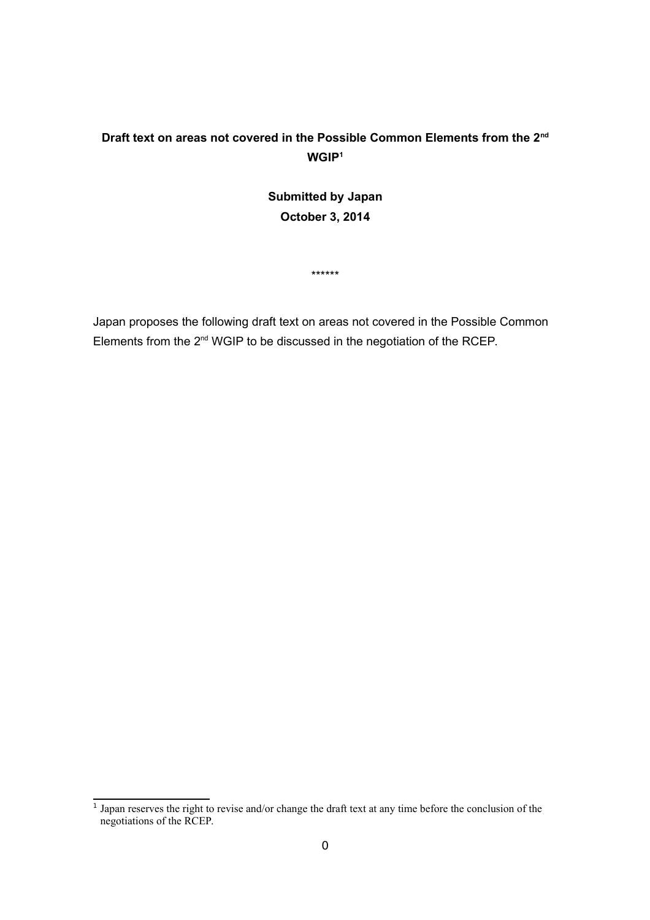## **Draft text on areas not covered in the Possible Common Elements from the 2nd WGIP[1](#page-0-0)**

## **Submitted by Japan October 3, 2014**

\*\*\*\*\*\*

Japan proposes the following draft text on areas not covered in the Possible Common Elements from the 2<sup>nd</sup> WGIP to be discussed in the negotiation of the RCEP.

<span id="page-0-0"></span><sup>&</sup>lt;sup>1</sup> Japan reserves the right to revise and/or change the draft text at any time before the conclusion of the negotiations of the RCEP.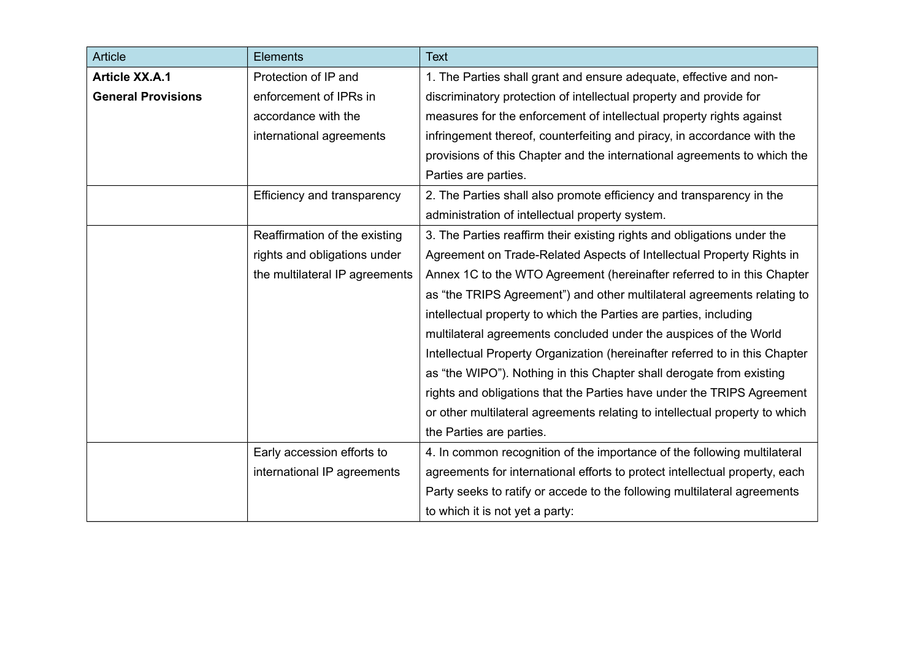| Article                   | <b>Elements</b>                | <b>Text</b>                                                                 |
|---------------------------|--------------------------------|-----------------------------------------------------------------------------|
| <b>Article XX.A.1</b>     | Protection of IP and           | 1. The Parties shall grant and ensure adequate, effective and non-          |
| <b>General Provisions</b> | enforcement of IPRs in         | discriminatory protection of intellectual property and provide for          |
|                           | accordance with the            | measures for the enforcement of intellectual property rights against        |
|                           | international agreements       | infringement thereof, counterfeiting and piracy, in accordance with the     |
|                           |                                | provisions of this Chapter and the international agreements to which the    |
|                           |                                | Parties are parties.                                                        |
|                           | Efficiency and transparency    | 2. The Parties shall also promote efficiency and transparency in the        |
|                           |                                | administration of intellectual property system.                             |
|                           | Reaffirmation of the existing  | 3. The Parties reaffirm their existing rights and obligations under the     |
|                           | rights and obligations under   | Agreement on Trade-Related Aspects of Intellectual Property Rights in       |
|                           | the multilateral IP agreements | Annex 1C to the WTO Agreement (hereinafter referred to in this Chapter      |
|                           |                                | as "the TRIPS Agreement") and other multilateral agreements relating to     |
|                           |                                | intellectual property to which the Parties are parties, including           |
|                           |                                | multilateral agreements concluded under the auspices of the World           |
|                           |                                | Intellectual Property Organization (hereinafter referred to in this Chapter |
|                           |                                | as "the WIPO"). Nothing in this Chapter shall derogate from existing        |
|                           |                                | rights and obligations that the Parties have under the TRIPS Agreement      |
|                           |                                | or other multilateral agreements relating to intellectual property to which |
|                           |                                | the Parties are parties.                                                    |
|                           | Early accession efforts to     | 4. In common recognition of the importance of the following multilateral    |
|                           | international IP agreements    | agreements for international efforts to protect intellectual property, each |
|                           |                                | Party seeks to ratify or accede to the following multilateral agreements    |
|                           |                                | to which it is not yet a party:                                             |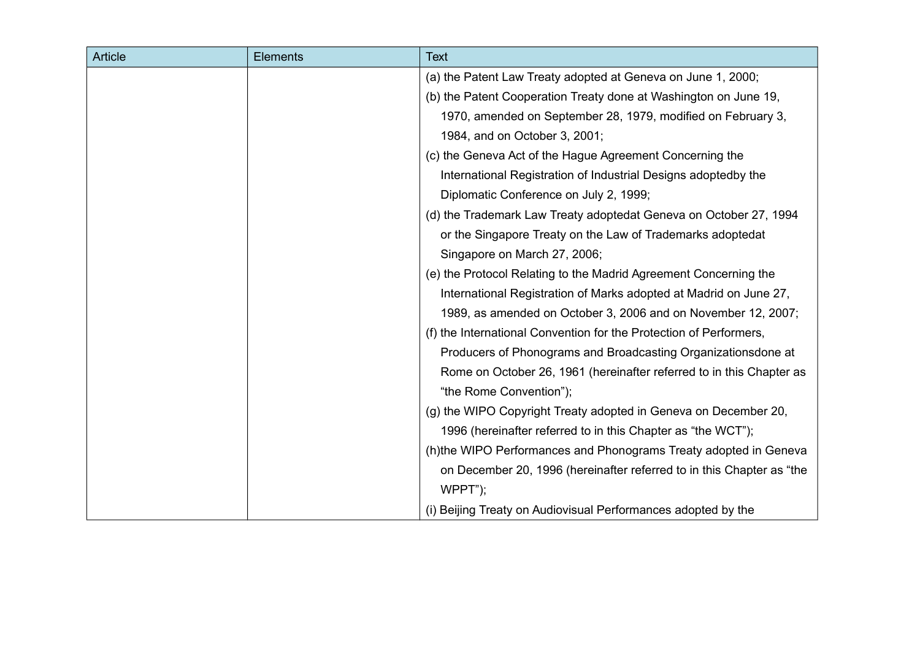| <b>Article</b> | <b>Elements</b> | <b>Text</b>                                                           |
|----------------|-----------------|-----------------------------------------------------------------------|
|                |                 | (a) the Patent Law Treaty adopted at Geneva on June 1, 2000;          |
|                |                 | (b) the Patent Cooperation Treaty done at Washington on June 19,      |
|                |                 | 1970, amended on September 28, 1979, modified on February 3,          |
|                |                 | 1984, and on October 3, 2001;                                         |
|                |                 | (c) the Geneva Act of the Hague Agreement Concerning the              |
|                |                 | International Registration of Industrial Designs adoptedby the        |
|                |                 | Diplomatic Conference on July 2, 1999;                                |
|                |                 | (d) the Trademark Law Treaty adoptedat Geneva on October 27, 1994     |
|                |                 | or the Singapore Treaty on the Law of Trademarks adoptedat            |
|                |                 | Singapore on March 27, 2006;                                          |
|                |                 | (e) the Protocol Relating to the Madrid Agreement Concerning the      |
|                |                 | International Registration of Marks adopted at Madrid on June 27,     |
|                |                 | 1989, as amended on October 3, 2006 and on November 12, 2007;         |
|                |                 | (f) the International Convention for the Protection of Performers,    |
|                |                 | Producers of Phonograms and Broadcasting Organizationsdone at         |
|                |                 | Rome on October 26, 1961 (hereinafter referred to in this Chapter as  |
|                |                 | "the Rome Convention");                                               |
|                |                 | (g) the WIPO Copyright Treaty adopted in Geneva on December 20,       |
|                |                 | 1996 (hereinafter referred to in this Chapter as "the WCT");          |
|                |                 | (h)the WIPO Performances and Phonograms Treaty adopted in Geneva      |
|                |                 | on December 20, 1996 (hereinafter referred to in this Chapter as "the |
|                |                 | $WPPT$ ");                                                            |
|                |                 | (i) Beijing Treaty on Audiovisual Performances adopted by the         |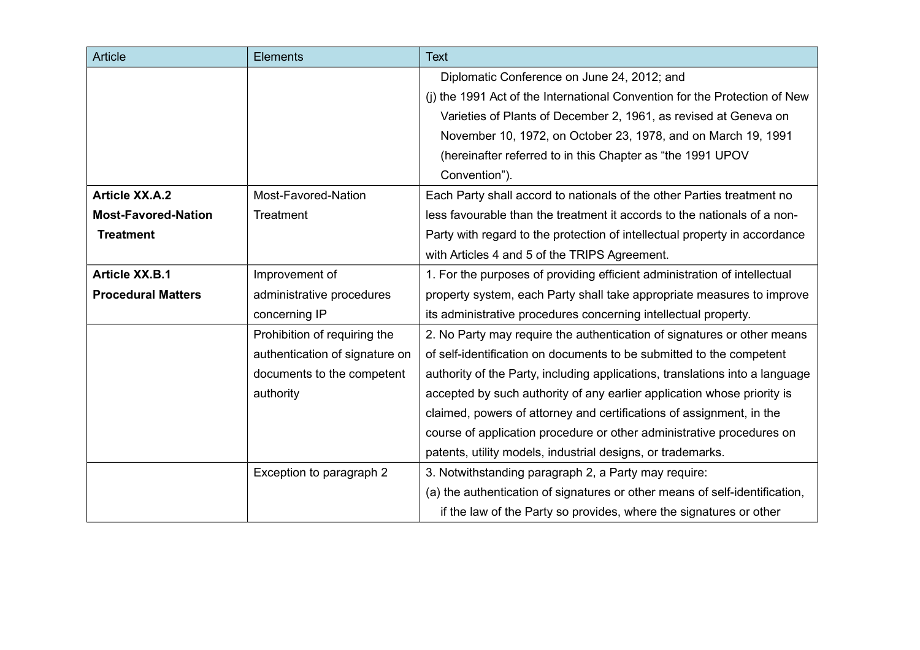| Article                    | <b>Elements</b>                | <b>Text</b>                                                                  |
|----------------------------|--------------------------------|------------------------------------------------------------------------------|
|                            |                                | Diplomatic Conference on June 24, 2012; and                                  |
|                            |                                | (i) the 1991 Act of the International Convention for the Protection of New   |
|                            |                                | Varieties of Plants of December 2, 1961, as revised at Geneva on             |
|                            |                                | November 10, 1972, on October 23, 1978, and on March 19, 1991                |
|                            |                                | (hereinafter referred to in this Chapter as "the 1991 UPOV                   |
|                            |                                | Convention").                                                                |
| <b>Article XX.A.2</b>      | Most-Favored-Nation            | Each Party shall accord to nationals of the other Parties treatment no       |
| <b>Most-Favored-Nation</b> | Treatment                      | less favourable than the treatment it accords to the nationals of a non-     |
| <b>Treatment</b>           |                                | Party with regard to the protection of intellectual property in accordance   |
|                            |                                | with Articles 4 and 5 of the TRIPS Agreement.                                |
| <b>Article XX.B.1</b>      | Improvement of                 | 1. For the purposes of providing efficient administration of intellectual    |
| <b>Procedural Matters</b>  | administrative procedures      | property system, each Party shall take appropriate measures to improve       |
|                            | concerning IP                  | its administrative procedures concerning intellectual property.              |
|                            | Prohibition of requiring the   | 2. No Party may require the authentication of signatures or other means      |
|                            | authentication of signature on | of self-identification on documents to be submitted to the competent         |
|                            | documents to the competent     | authority of the Party, including applications, translations into a language |
|                            | authority                      | accepted by such authority of any earlier application whose priority is      |
|                            |                                | claimed, powers of attorney and certifications of assignment, in the         |
|                            |                                | course of application procedure or other administrative procedures on        |
|                            |                                | patents, utility models, industrial designs, or trademarks.                  |
|                            | Exception to paragraph 2       | 3. Notwithstanding paragraph 2, a Party may require:                         |
|                            |                                | (a) the authentication of signatures or other means of self-identification,  |
|                            |                                | if the law of the Party so provides, where the signatures or other           |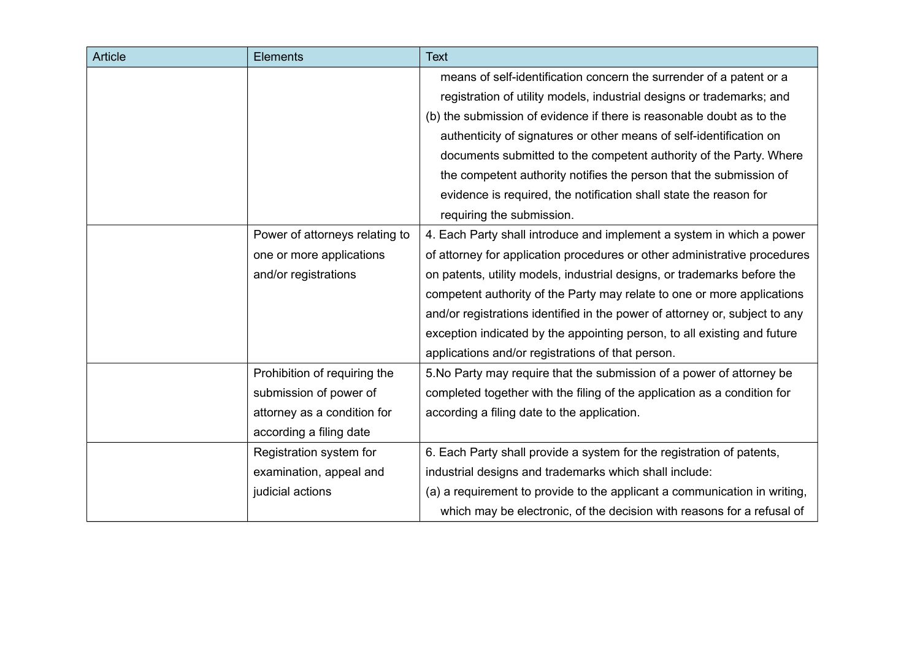| <b>Article</b> | <b>Elements</b>                | <b>Text</b>                                                                 |
|----------------|--------------------------------|-----------------------------------------------------------------------------|
|                |                                | means of self-identification concern the surrender of a patent or a         |
|                |                                | registration of utility models, industrial designs or trademarks; and       |
|                |                                | (b) the submission of evidence if there is reasonable doubt as to the       |
|                |                                | authenticity of signatures or other means of self-identification on         |
|                |                                | documents submitted to the competent authority of the Party. Where          |
|                |                                | the competent authority notifies the person that the submission of          |
|                |                                | evidence is required, the notification shall state the reason for           |
|                |                                | requiring the submission.                                                   |
|                | Power of attorneys relating to | 4. Each Party shall introduce and implement a system in which a power       |
|                | one or more applications       | of attorney for application procedures or other administrative procedures   |
|                | and/or registrations           | on patents, utility models, industrial designs, or trademarks before the    |
|                |                                | competent authority of the Party may relate to one or more applications     |
|                |                                | and/or registrations identified in the power of attorney or, subject to any |
|                |                                | exception indicated by the appointing person, to all existing and future    |
|                |                                | applications and/or registrations of that person.                           |
|                | Prohibition of requiring the   | 5. No Party may require that the submission of a power of attorney be       |
|                | submission of power of         | completed together with the filing of the application as a condition for    |
|                | attorney as a condition for    | according a filing date to the application.                                 |
|                | according a filing date        |                                                                             |
|                | Registration system for        | 6. Each Party shall provide a system for the registration of patents,       |
|                | examination, appeal and        | industrial designs and trademarks which shall include:                      |
|                | judicial actions               | (a) a requirement to provide to the applicant a communication in writing,   |
|                |                                | which may be electronic, of the decision with reasons for a refusal of      |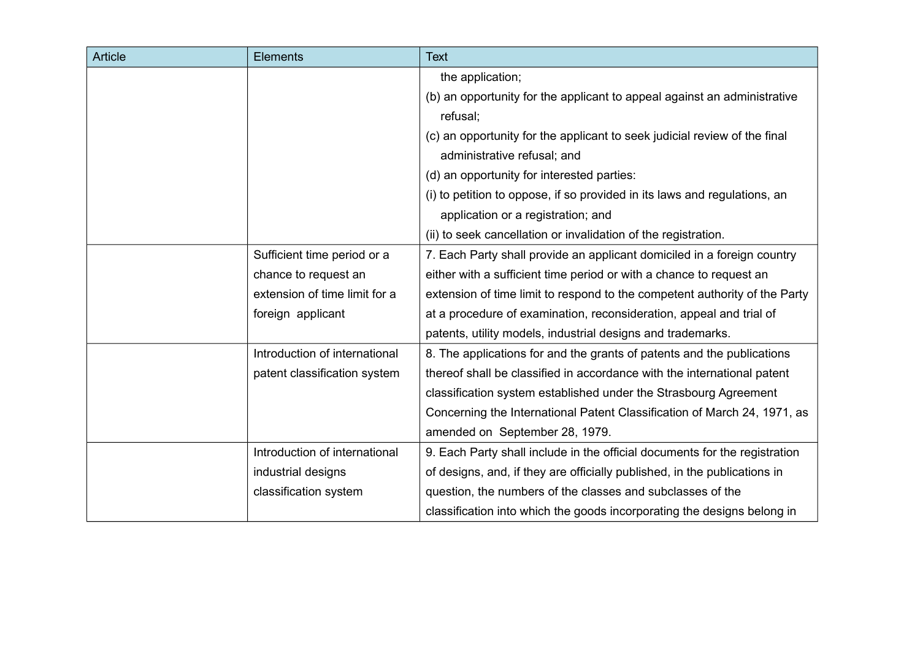| Article | <b>Elements</b>               | <b>Text</b>                                                                |
|---------|-------------------------------|----------------------------------------------------------------------------|
|         |                               | the application;                                                           |
|         |                               | (b) an opportunity for the applicant to appeal against an administrative   |
|         |                               | refusal;                                                                   |
|         |                               | (c) an opportunity for the applicant to seek judicial review of the final  |
|         |                               | administrative refusal; and                                                |
|         |                               | (d) an opportunity for interested parties:                                 |
|         |                               | (i) to petition to oppose, if so provided in its laws and regulations, an  |
|         |                               | application or a registration; and                                         |
|         |                               | (ii) to seek cancellation or invalidation of the registration.             |
|         | Sufficient time period or a   | 7. Each Party shall provide an applicant domiciled in a foreign country    |
|         | chance to request an          | either with a sufficient time period or with a chance to request an        |
|         | extension of time limit for a | extension of time limit to respond to the competent authority of the Party |
|         | foreign applicant             | at a procedure of examination, reconsideration, appeal and trial of        |
|         |                               | patents, utility models, industrial designs and trademarks.                |
|         | Introduction of international | 8. The applications for and the grants of patents and the publications     |
|         | patent classification system  | thereof shall be classified in accordance with the international patent    |
|         |                               | classification system established under the Strasbourg Agreement           |
|         |                               | Concerning the International Patent Classification of March 24, 1971, as   |
|         |                               | amended on September 28, 1979.                                             |
|         | Introduction of international | 9. Each Party shall include in the official documents for the registration |
|         | industrial designs            | of designs, and, if they are officially published, in the publications in  |
|         | classification system         | question, the numbers of the classes and subclasses of the                 |
|         |                               | classification into which the goods incorporating the designs belong in    |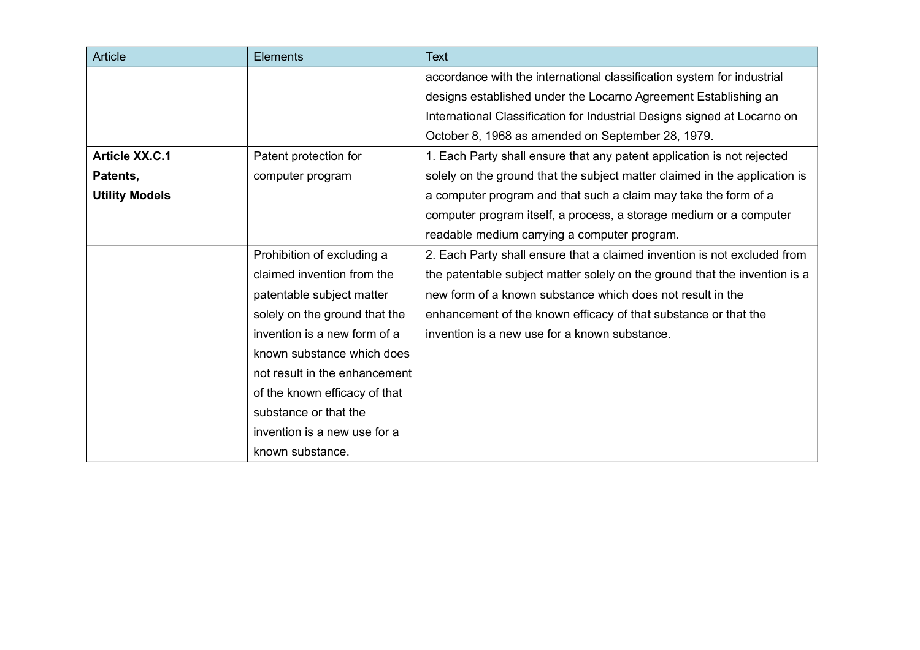| Article               | <b>Elements</b>               | <b>Text</b>                                                                |
|-----------------------|-------------------------------|----------------------------------------------------------------------------|
|                       |                               | accordance with the international classification system for industrial     |
|                       |                               | designs established under the Locarno Agreement Establishing an            |
|                       |                               | International Classification for Industrial Designs signed at Locarno on   |
|                       |                               | October 8, 1968 as amended on September 28, 1979.                          |
| <b>Article XX.C.1</b> | Patent protection for         | 1. Each Party shall ensure that any patent application is not rejected     |
| Patents,              | computer program              | solely on the ground that the subject matter claimed in the application is |
| <b>Utility Models</b> |                               | a computer program and that such a claim may take the form of a            |
|                       |                               | computer program itself, a process, a storage medium or a computer         |
|                       |                               | readable medium carrying a computer program.                               |
|                       | Prohibition of excluding a    | 2. Each Party shall ensure that a claimed invention is not excluded from   |
|                       | claimed invention from the    | the patentable subject matter solely on the ground that the invention is a |
|                       | patentable subject matter     | new form of a known substance which does not result in the                 |
|                       | solely on the ground that the | enhancement of the known efficacy of that substance or that the            |
|                       | invention is a new form of a  | invention is a new use for a known substance.                              |
|                       | known substance which does    |                                                                            |
|                       | not result in the enhancement |                                                                            |
|                       | of the known efficacy of that |                                                                            |
|                       | substance or that the         |                                                                            |
|                       | invention is a new use for a  |                                                                            |
|                       | known substance.              |                                                                            |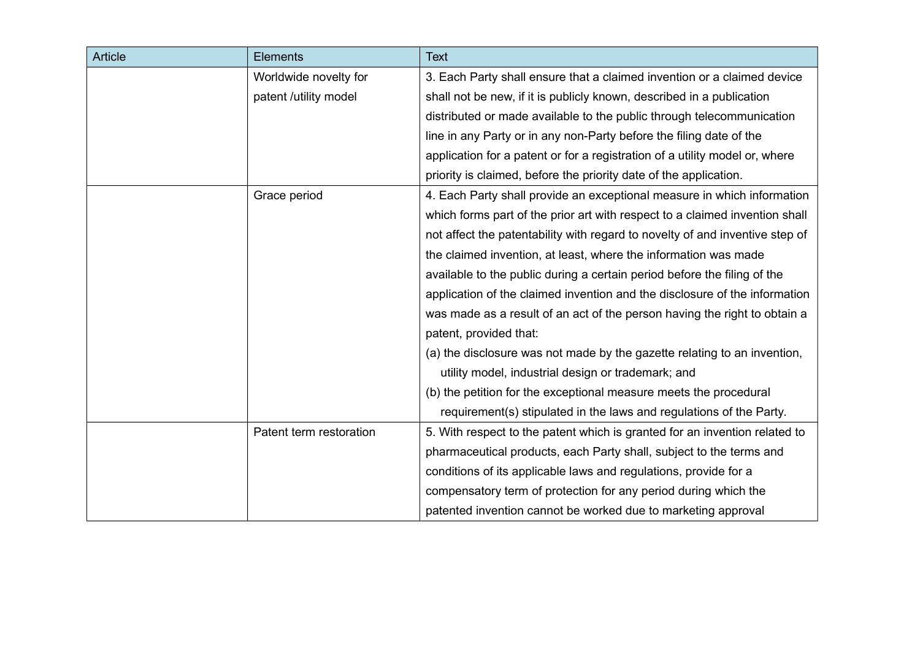| Article | <b>Elements</b>         | <b>Text</b>                                                                  |
|---------|-------------------------|------------------------------------------------------------------------------|
|         | Worldwide novelty for   | 3. Each Party shall ensure that a claimed invention or a claimed device      |
|         | patent /utility model   | shall not be new, if it is publicly known, described in a publication        |
|         |                         | distributed or made available to the public through telecommunication        |
|         |                         | line in any Party or in any non-Party before the filing date of the          |
|         |                         | application for a patent or for a registration of a utility model or, where  |
|         |                         | priority is claimed, before the priority date of the application.            |
|         | Grace period            | 4. Each Party shall provide an exceptional measure in which information      |
|         |                         | which forms part of the prior art with respect to a claimed invention shall  |
|         |                         | not affect the patentability with regard to novelty of and inventive step of |
|         |                         | the claimed invention, at least, where the information was made              |
|         |                         | available to the public during a certain period before the filing of the     |
|         |                         | application of the claimed invention and the disclosure of the information   |
|         |                         | was made as a result of an act of the person having the right to obtain a    |
|         |                         | patent, provided that:                                                       |
|         |                         | (a) the disclosure was not made by the gazette relating to an invention,     |
|         |                         | utility model, industrial design or trademark; and                           |
|         |                         | (b) the petition for the exceptional measure meets the procedural            |
|         |                         | requirement(s) stipulated in the laws and regulations of the Party.          |
|         | Patent term restoration | 5. With respect to the patent which is granted for an invention related to   |
|         |                         | pharmaceutical products, each Party shall, subject to the terms and          |
|         |                         | conditions of its applicable laws and regulations, provide for a             |
|         |                         | compensatory term of protection for any period during which the              |
|         |                         | patented invention cannot be worked due to marketing approval                |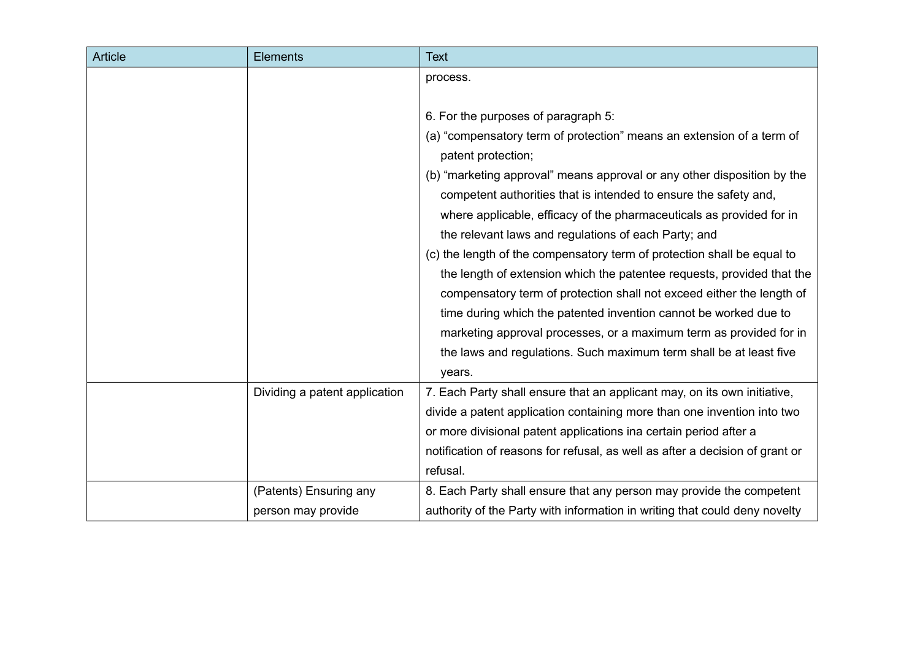| <b>Article</b> | <b>Elements</b>               | <b>Text</b>                                                                  |
|----------------|-------------------------------|------------------------------------------------------------------------------|
|                |                               | process.                                                                     |
|                |                               |                                                                              |
|                |                               | 6. For the purposes of paragraph 5:                                          |
|                |                               | (a) "compensatory term of protection" means an extension of a term of        |
|                |                               | patent protection;                                                           |
|                |                               | (b) "marketing approval" means approval or any other disposition by the      |
|                |                               | competent authorities that is intended to ensure the safety and,             |
|                |                               | where applicable, efficacy of the pharmaceuticals as provided for in         |
|                |                               | the relevant laws and regulations of each Party; and                         |
|                |                               | (c) the length of the compensatory term of protection shall be equal to      |
|                |                               | the length of extension which the patentee requests, provided that the       |
|                |                               | compensatory term of protection shall not exceed either the length of        |
|                |                               | time during which the patented invention cannot be worked due to             |
|                |                               | marketing approval processes, or a maximum term as provided for in           |
|                |                               | the laws and regulations. Such maximum term shall be at least five           |
|                |                               | years.                                                                       |
|                | Dividing a patent application | 7. Each Party shall ensure that an applicant may, on its own initiative,     |
|                |                               | divide a patent application containing more than one invention into two      |
|                |                               | or more divisional patent applications ina certain period after a            |
|                |                               | notification of reasons for refusal, as well as after a decision of grant or |
|                |                               | refusal.                                                                     |
|                | (Patents) Ensuring any        | 8. Each Party shall ensure that any person may provide the competent         |
|                | person may provide            | authority of the Party with information in writing that could deny novelty   |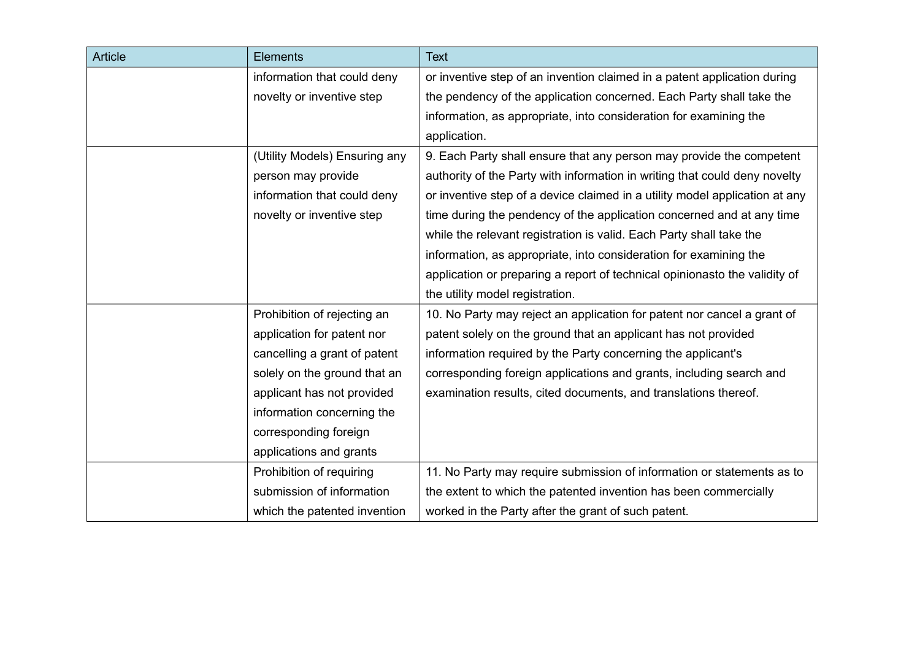| <b>Article</b> | <b>Elements</b>               | <b>Text</b>                                                                 |
|----------------|-------------------------------|-----------------------------------------------------------------------------|
|                | information that could deny   | or inventive step of an invention claimed in a patent application during    |
|                | novelty or inventive step     | the pendency of the application concerned. Each Party shall take the        |
|                |                               | information, as appropriate, into consideration for examining the           |
|                |                               | application.                                                                |
|                | (Utility Models) Ensuring any | 9. Each Party shall ensure that any person may provide the competent        |
|                | person may provide            | authority of the Party with information in writing that could deny novelty  |
|                | information that could deny   | or inventive step of a device claimed in a utility model application at any |
|                | novelty or inventive step     | time during the pendency of the application concerned and at any time       |
|                |                               | while the relevant registration is valid. Each Party shall take the         |
|                |                               | information, as appropriate, into consideration for examining the           |
|                |                               | application or preparing a report of technical opinionasto the validity of  |
|                |                               | the utility model registration.                                             |
|                | Prohibition of rejecting an   | 10. No Party may reject an application for patent nor cancel a grant of     |
|                | application for patent nor    | patent solely on the ground that an applicant has not provided              |
|                | cancelling a grant of patent  | information required by the Party concerning the applicant's                |
|                | solely on the ground that an  | corresponding foreign applications and grants, including search and         |
|                | applicant has not provided    | examination results, cited documents, and translations thereof.             |
|                | information concerning the    |                                                                             |
|                | corresponding foreign         |                                                                             |
|                | applications and grants       |                                                                             |
|                | Prohibition of requiring      | 11. No Party may require submission of information or statements as to      |
|                | submission of information     | the extent to which the patented invention has been commercially            |
|                | which the patented invention  | worked in the Party after the grant of such patent.                         |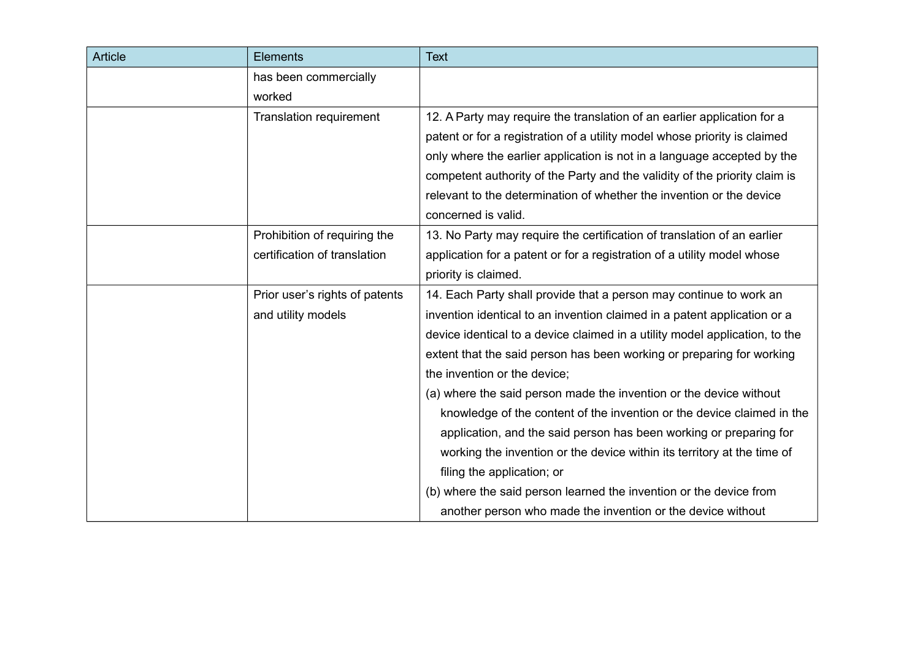| <b>Article</b> | Elements                       | <b>Text</b>                                                                 |
|----------------|--------------------------------|-----------------------------------------------------------------------------|
|                | has been commercially          |                                                                             |
|                | worked                         |                                                                             |
|                | <b>Translation requirement</b> | 12. A Party may require the translation of an earlier application for a     |
|                |                                | patent or for a registration of a utility model whose priority is claimed   |
|                |                                | only where the earlier application is not in a language accepted by the     |
|                |                                | competent authority of the Party and the validity of the priority claim is  |
|                |                                | relevant to the determination of whether the invention or the device        |
|                |                                | concerned is valid.                                                         |
|                | Prohibition of requiring the   | 13. No Party may require the certification of translation of an earlier     |
|                | certification of translation   | application for a patent or for a registration of a utility model whose     |
|                |                                | priority is claimed.                                                        |
|                | Prior user's rights of patents | 14. Each Party shall provide that a person may continue to work an          |
|                | and utility models             | invention identical to an invention claimed in a patent application or a    |
|                |                                | device identical to a device claimed in a utility model application, to the |
|                |                                | extent that the said person has been working or preparing for working       |
|                |                                | the invention or the device;                                                |
|                |                                | (a) where the said person made the invention or the device without          |
|                |                                | knowledge of the content of the invention or the device claimed in the      |
|                |                                | application, and the said person has been working or preparing for          |
|                |                                | working the invention or the device within its territory at the time of     |
|                |                                | filing the application; or                                                  |
|                |                                | (b) where the said person learned the invention or the device from          |
|                |                                | another person who made the invention or the device without                 |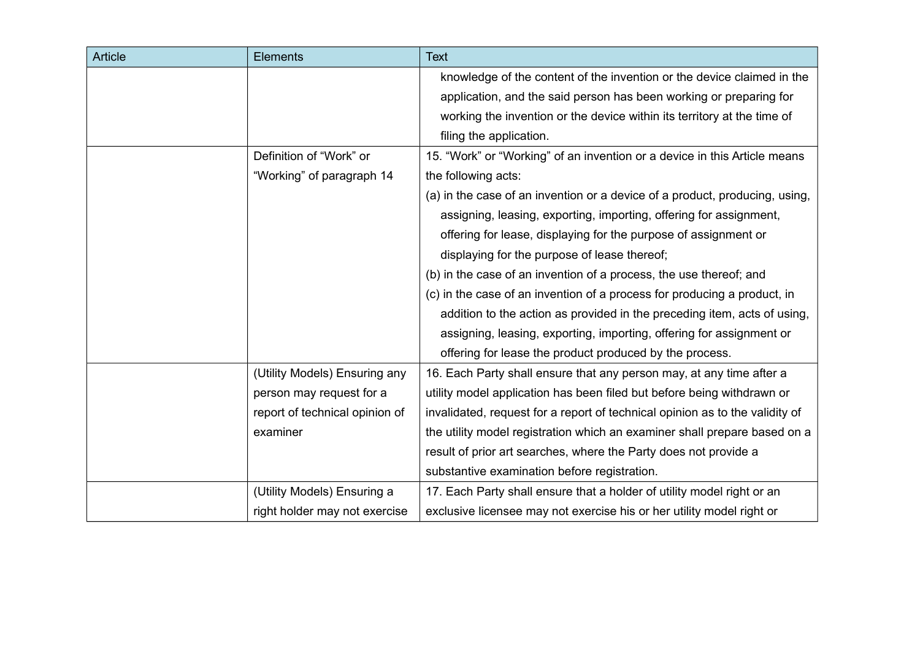| <b>Article</b> | <b>Elements</b>                | <b>Text</b>                                                                  |
|----------------|--------------------------------|------------------------------------------------------------------------------|
|                |                                | knowledge of the content of the invention or the device claimed in the       |
|                |                                | application, and the said person has been working or preparing for           |
|                |                                | working the invention or the device within its territory at the time of      |
|                |                                | filing the application.                                                      |
|                | Definition of "Work" or        | 15. "Work" or "Working" of an invention or a device in this Article means    |
|                | "Working" of paragraph 14      | the following acts:                                                          |
|                |                                | (a) in the case of an invention or a device of a product, producing, using,  |
|                |                                | assigning, leasing, exporting, importing, offering for assignment,           |
|                |                                | offering for lease, displaying for the purpose of assignment or              |
|                |                                | displaying for the purpose of lease thereof;                                 |
|                |                                | (b) in the case of an invention of a process, the use thereof; and           |
|                |                                | (c) in the case of an invention of a process for producing a product, in     |
|                |                                | addition to the action as provided in the preceding item, acts of using,     |
|                |                                | assigning, leasing, exporting, importing, offering for assignment or         |
|                |                                | offering for lease the product produced by the process.                      |
|                | (Utility Models) Ensuring any  | 16. Each Party shall ensure that any person may, at any time after a         |
|                | person may request for a       | utility model application has been filed but before being withdrawn or       |
|                | report of technical opinion of | invalidated, request for a report of technical opinion as to the validity of |
|                | examiner                       | the utility model registration which an examiner shall prepare based on a    |
|                |                                | result of prior art searches, where the Party does not provide a             |
|                |                                | substantive examination before registration.                                 |
|                | (Utility Models) Ensuring a    | 17. Each Party shall ensure that a holder of utility model right or an       |
|                | right holder may not exercise  | exclusive licensee may not exercise his or her utility model right or        |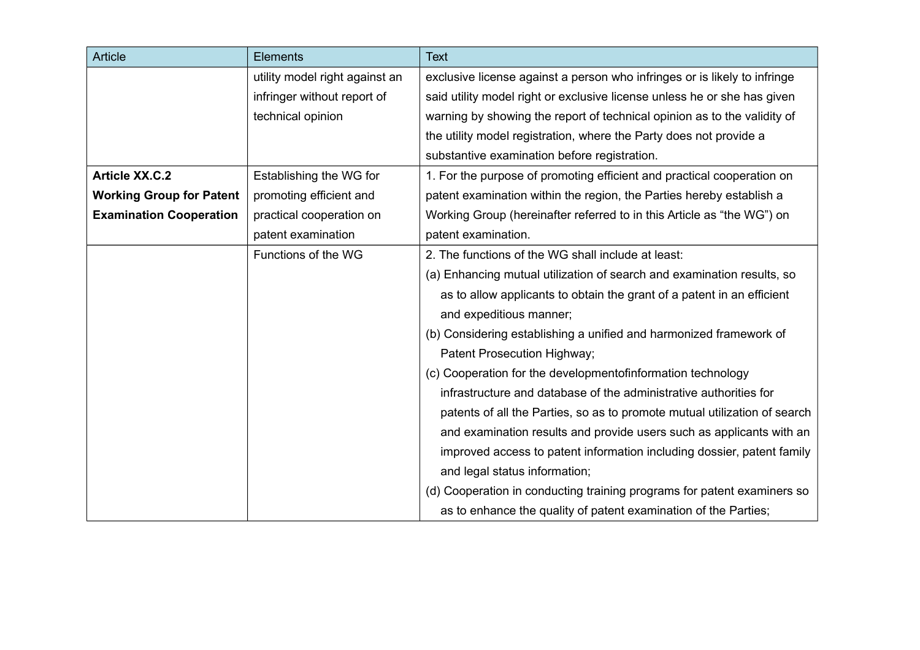| <b>Article</b>                  | <b>Elements</b>                | <b>Text</b>                                                               |
|---------------------------------|--------------------------------|---------------------------------------------------------------------------|
|                                 | utility model right against an | exclusive license against a person who infringes or is likely to infringe |
|                                 | infringer without report of    | said utility model right or exclusive license unless he or she has given  |
|                                 | technical opinion              | warning by showing the report of technical opinion as to the validity of  |
|                                 |                                | the utility model registration, where the Party does not provide a        |
|                                 |                                | substantive examination before registration.                              |
| <b>Article XX.C.2</b>           | Establishing the WG for        | 1. For the purpose of promoting efficient and practical cooperation on    |
| <b>Working Group for Patent</b> | promoting efficient and        | patent examination within the region, the Parties hereby establish a      |
| <b>Examination Cooperation</b>  | practical cooperation on       | Working Group (hereinafter referred to in this Article as "the WG") on    |
|                                 | patent examination             | patent examination.                                                       |
|                                 | Functions of the WG            | 2. The functions of the WG shall include at least:                        |
|                                 |                                | (a) Enhancing mutual utilization of search and examination results, so    |
|                                 |                                | as to allow applicants to obtain the grant of a patent in an efficient    |
|                                 |                                | and expeditious manner;                                                   |
|                                 |                                | (b) Considering establishing a unified and harmonized framework of        |
|                                 |                                | Patent Prosecution Highway;                                               |
|                                 |                                | (c) Cooperation for the developmentofinformation technology               |
|                                 |                                | infrastructure and database of the administrative authorities for         |
|                                 |                                | patents of all the Parties, so as to promote mutual utilization of search |
|                                 |                                | and examination results and provide users such as applicants with an      |
|                                 |                                | improved access to patent information including dossier, patent family    |
|                                 |                                | and legal status information;                                             |
|                                 |                                | (d) Cooperation in conducting training programs for patent examiners so   |
|                                 |                                | as to enhance the quality of patent examination of the Parties;           |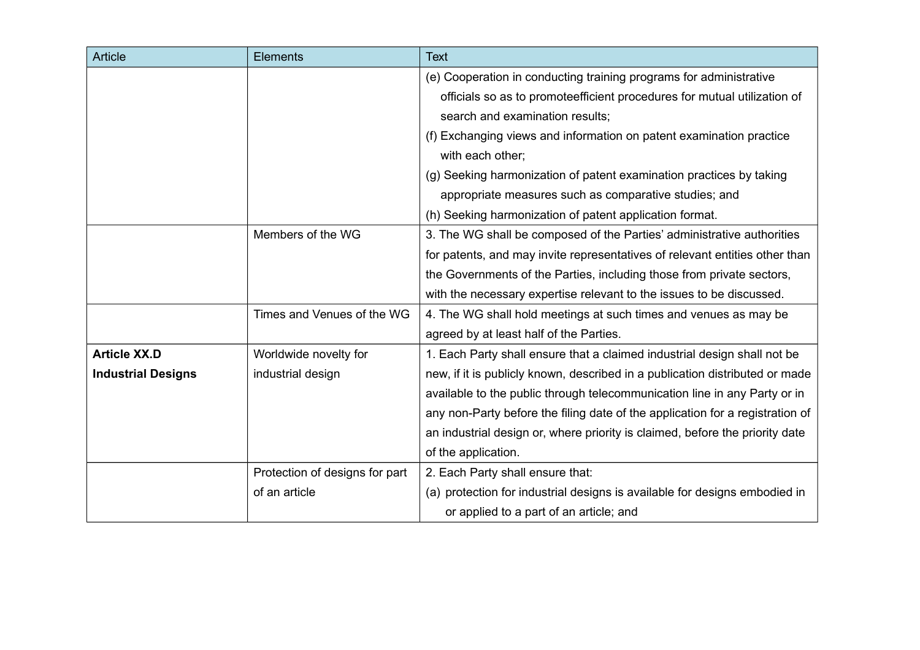| Article                   | <b>Elements</b>                | <b>Text</b>                                                                   |
|---------------------------|--------------------------------|-------------------------------------------------------------------------------|
|                           |                                | (e) Cooperation in conducting training programs for administrative            |
|                           |                                | officials so as to promoteefficient procedures for mutual utilization of      |
|                           |                                | search and examination results;                                               |
|                           |                                | (f) Exchanging views and information on patent examination practice           |
|                           |                                | with each other;                                                              |
|                           |                                | (g) Seeking harmonization of patent examination practices by taking           |
|                           |                                | appropriate measures such as comparative studies; and                         |
|                           |                                | (h) Seeking harmonization of patent application format.                       |
|                           | Members of the WG              | 3. The WG shall be composed of the Parties' administrative authorities        |
|                           |                                | for patents, and may invite representatives of relevant entities other than   |
|                           |                                | the Governments of the Parties, including those from private sectors,         |
|                           |                                | with the necessary expertise relevant to the issues to be discussed.          |
|                           | Times and Venues of the WG     | 4. The WG shall hold meetings at such times and venues as may be              |
|                           |                                | agreed by at least half of the Parties.                                       |
| <b>Article XX.D</b>       | Worldwide novelty for          | 1. Each Party shall ensure that a claimed industrial design shall not be      |
| <b>Industrial Designs</b> | industrial design              | new, if it is publicly known, described in a publication distributed or made  |
|                           |                                | available to the public through telecommunication line in any Party or in     |
|                           |                                | any non-Party before the filing date of the application for a registration of |
|                           |                                | an industrial design or, where priority is claimed, before the priority date  |
|                           |                                | of the application.                                                           |
|                           | Protection of designs for part | 2. Each Party shall ensure that:                                              |
|                           | of an article                  | (a) protection for industrial designs is available for designs embodied in    |
|                           |                                | or applied to a part of an article; and                                       |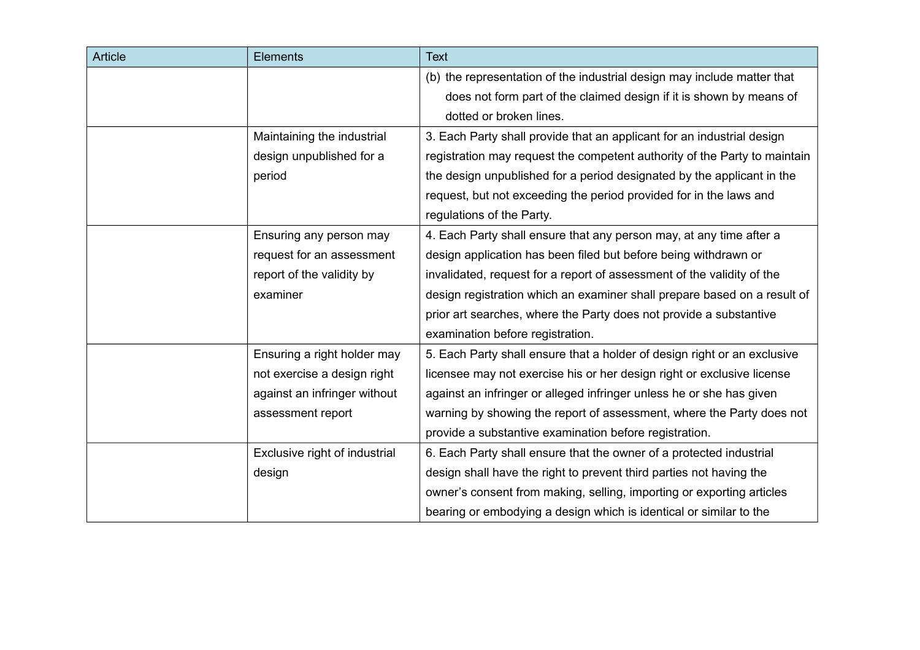| <b>Article</b> | <b>Elements</b>               | <b>Text</b>                                                               |
|----------------|-------------------------------|---------------------------------------------------------------------------|
|                |                               | (b) the representation of the industrial design may include matter that   |
|                |                               | does not form part of the claimed design if it is shown by means of       |
|                |                               | dotted or broken lines.                                                   |
|                | Maintaining the industrial    | 3. Each Party shall provide that an applicant for an industrial design    |
|                | design unpublished for a      | registration may request the competent authority of the Party to maintain |
|                | period                        | the design unpublished for a period designated by the applicant in the    |
|                |                               | request, but not exceeding the period provided for in the laws and        |
|                |                               | regulations of the Party.                                                 |
|                | Ensuring any person may       | 4. Each Party shall ensure that any person may, at any time after a       |
|                | request for an assessment     | design application has been filed but before being withdrawn or           |
|                | report of the validity by     | invalidated, request for a report of assessment of the validity of the    |
|                | examiner                      | design registration which an examiner shall prepare based on a result of  |
|                |                               | prior art searches, where the Party does not provide a substantive        |
|                |                               | examination before registration.                                          |
|                | Ensuring a right holder may   | 5. Each Party shall ensure that a holder of design right or an exclusive  |
|                | not exercise a design right   | licensee may not exercise his or her design right or exclusive license    |
|                | against an infringer without  | against an infringer or alleged infringer unless he or she has given      |
|                | assessment report             | warning by showing the report of assessment, where the Party does not     |
|                |                               | provide a substantive examination before registration.                    |
|                | Exclusive right of industrial | 6. Each Party shall ensure that the owner of a protected industrial       |
|                | design                        | design shall have the right to prevent third parties not having the       |
|                |                               | owner's consent from making, selling, importing or exporting articles     |
|                |                               | bearing or embodying a design which is identical or similar to the        |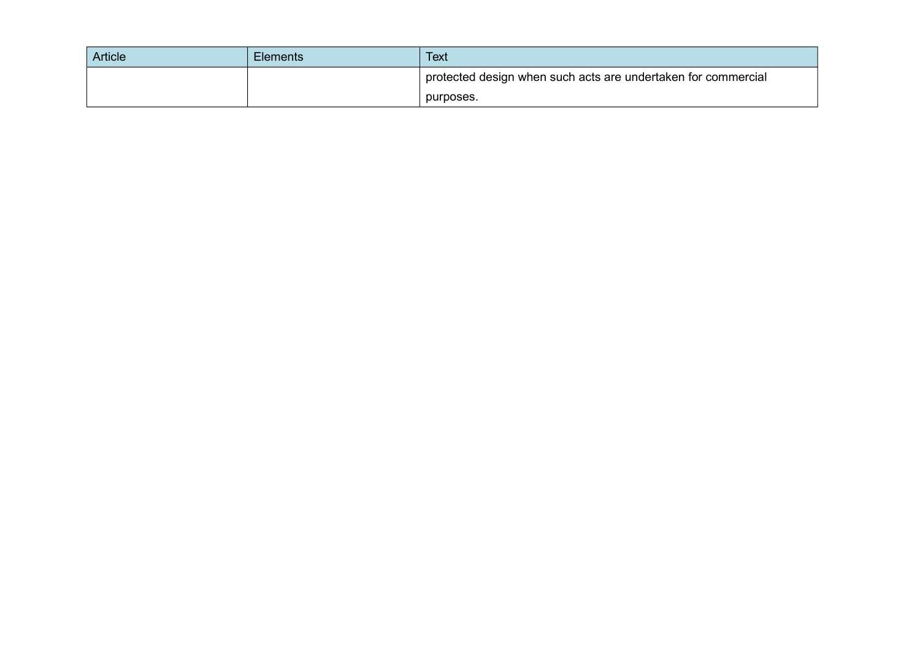| Article | <b>Elements</b> | <b>Text</b>                                                   |
|---------|-----------------|---------------------------------------------------------------|
|         |                 | protected design when such acts are undertaken for commercial |
|         |                 | purposes.                                                     |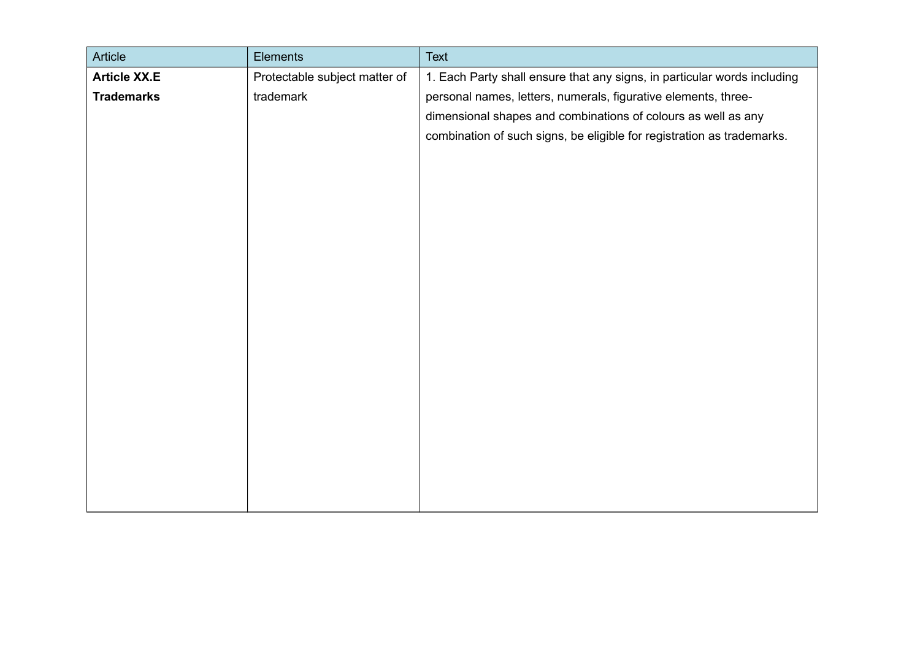| Article             | Elements                      | <b>Text</b>                                                              |
|---------------------|-------------------------------|--------------------------------------------------------------------------|
| <b>Article XX.E</b> | Protectable subject matter of | 1. Each Party shall ensure that any signs, in particular words including |
| <b>Trademarks</b>   | trademark                     | personal names, letters, numerals, figurative elements, three-           |
|                     |                               | dimensional shapes and combinations of colours as well as any            |
|                     |                               | combination of such signs, be eligible for registration as trademarks.   |
|                     |                               |                                                                          |
|                     |                               |                                                                          |
|                     |                               |                                                                          |
|                     |                               |                                                                          |
|                     |                               |                                                                          |
|                     |                               |                                                                          |
|                     |                               |                                                                          |
|                     |                               |                                                                          |
|                     |                               |                                                                          |
|                     |                               |                                                                          |
|                     |                               |                                                                          |
|                     |                               |                                                                          |
|                     |                               |                                                                          |
|                     |                               |                                                                          |
|                     |                               |                                                                          |
|                     |                               |                                                                          |
|                     |                               |                                                                          |
|                     |                               |                                                                          |
|                     |                               |                                                                          |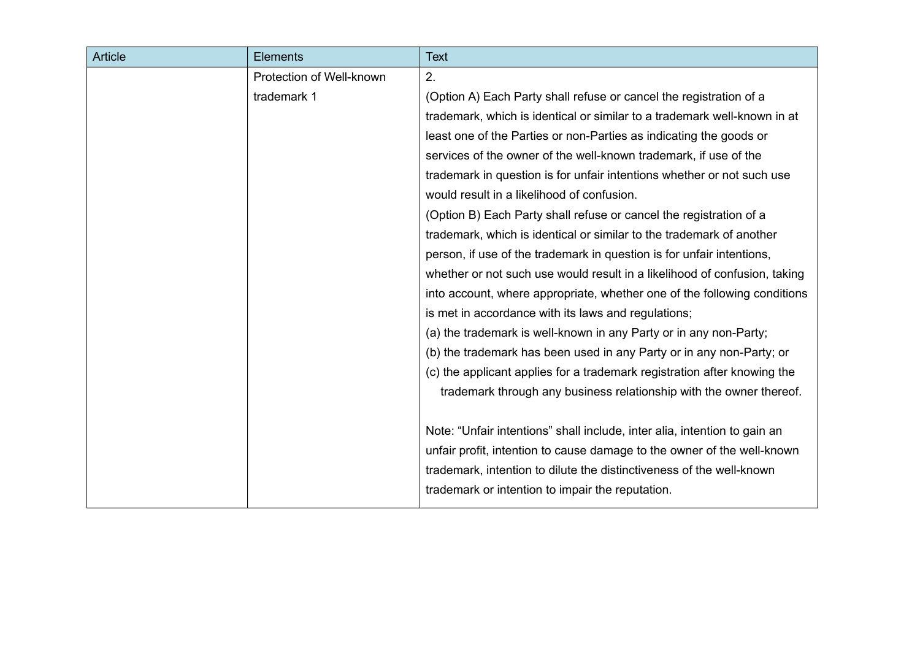| <b>Article</b> | <b>Elements</b>          | <b>Text</b>                                                               |
|----------------|--------------------------|---------------------------------------------------------------------------|
|                | Protection of Well-known | 2.                                                                        |
|                | trademark 1              | (Option A) Each Party shall refuse or cancel the registration of a        |
|                |                          | trademark, which is identical or similar to a trademark well-known in at  |
|                |                          | least one of the Parties or non-Parties as indicating the goods or        |
|                |                          | services of the owner of the well-known trademark, if use of the          |
|                |                          | trademark in question is for unfair intentions whether or not such use    |
|                |                          | would result in a likelihood of confusion.                                |
|                |                          | (Option B) Each Party shall refuse or cancel the registration of a        |
|                |                          | trademark, which is identical or similar to the trademark of another      |
|                |                          | person, if use of the trademark in question is for unfair intentions,     |
|                |                          | whether or not such use would result in a likelihood of confusion, taking |
|                |                          | into account, where appropriate, whether one of the following conditions  |
|                |                          | is met in accordance with its laws and regulations;                       |
|                |                          | (a) the trademark is well-known in any Party or in any non-Party;         |
|                |                          | (b) the trademark has been used in any Party or in any non-Party; or      |
|                |                          | (c) the applicant applies for a trademark registration after knowing the  |
|                |                          | trademark through any business relationship with the owner thereof.       |
|                |                          | Note: "Unfair intentions" shall include, inter alia, intention to gain an |
|                |                          | unfair profit, intention to cause damage to the owner of the well-known   |
|                |                          | trademark, intention to dilute the distinctiveness of the well-known      |
|                |                          | trademark or intention to impair the reputation.                          |
|                |                          |                                                                           |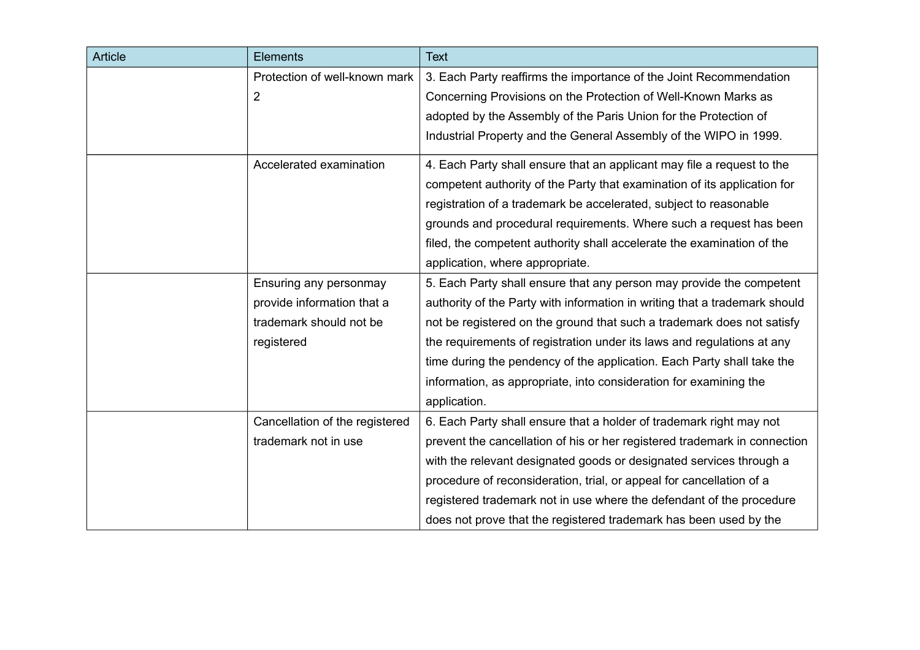| <b>Article</b> | <b>Elements</b>                | <b>Text</b>                                                                |
|----------------|--------------------------------|----------------------------------------------------------------------------|
|                | Protection of well-known mark  | 3. Each Party reaffirms the importance of the Joint Recommendation         |
|                | $\overline{2}$                 | Concerning Provisions on the Protection of Well-Known Marks as             |
|                |                                | adopted by the Assembly of the Paris Union for the Protection of           |
|                |                                | Industrial Property and the General Assembly of the WIPO in 1999.          |
|                | Accelerated examination        | 4. Each Party shall ensure that an applicant may file a request to the     |
|                |                                | competent authority of the Party that examination of its application for   |
|                |                                | registration of a trademark be accelerated, subject to reasonable          |
|                |                                | grounds and procedural requirements. Where such a request has been         |
|                |                                | filed, the competent authority shall accelerate the examination of the     |
|                |                                | application, where appropriate.                                            |
|                | Ensuring any personmay         | 5. Each Party shall ensure that any person may provide the competent       |
|                | provide information that a     | authority of the Party with information in writing that a trademark should |
|                | trademark should not be        | not be registered on the ground that such a trademark does not satisfy     |
|                | registered                     | the requirements of registration under its laws and regulations at any     |
|                |                                | time during the pendency of the application. Each Party shall take the     |
|                |                                | information, as appropriate, into consideration for examining the          |
|                |                                | application.                                                               |
|                | Cancellation of the registered | 6. Each Party shall ensure that a holder of trademark right may not        |
|                | trademark not in use           | prevent the cancellation of his or her registered trademark in connection  |
|                |                                | with the relevant designated goods or designated services through a        |
|                |                                | procedure of reconsideration, trial, or appeal for cancellation of a       |
|                |                                | registered trademark not in use where the defendant of the procedure       |
|                |                                | does not prove that the registered trademark has been used by the          |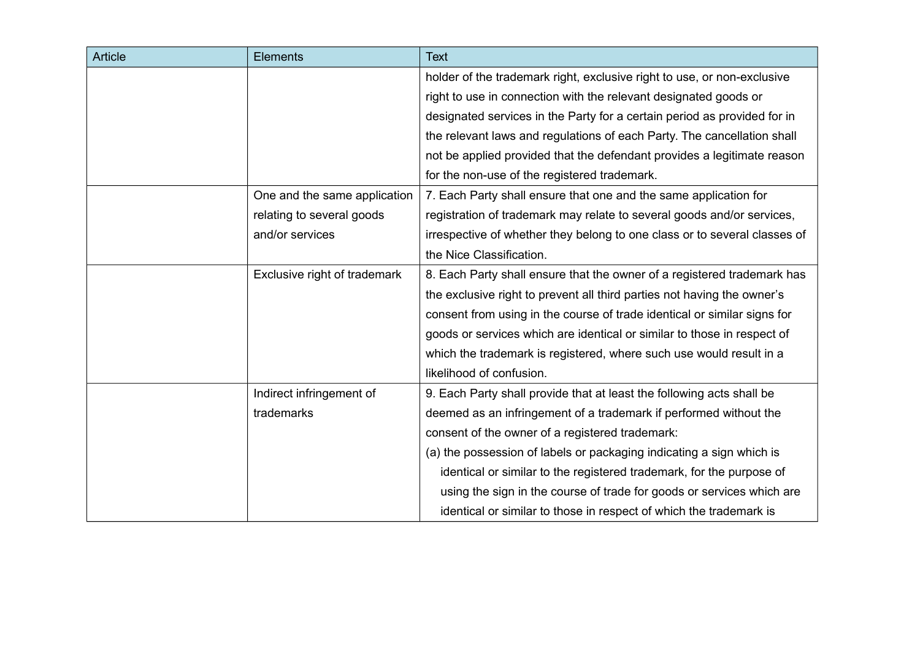| <b>Article</b> | <b>Elements</b>              | <b>Text</b>                                                               |
|----------------|------------------------------|---------------------------------------------------------------------------|
|                |                              | holder of the trademark right, exclusive right to use, or non-exclusive   |
|                |                              | right to use in connection with the relevant designated goods or          |
|                |                              | designated services in the Party for a certain period as provided for in  |
|                |                              | the relevant laws and regulations of each Party. The cancellation shall   |
|                |                              | not be applied provided that the defendant provides a legitimate reason   |
|                |                              | for the non-use of the registered trademark.                              |
|                | One and the same application | 7. Each Party shall ensure that one and the same application for          |
|                | relating to several goods    | registration of trademark may relate to several goods and/or services,    |
|                | and/or services              | irrespective of whether they belong to one class or to several classes of |
|                |                              | the Nice Classification.                                                  |
|                | Exclusive right of trademark | 8. Each Party shall ensure that the owner of a registered trademark has   |
|                |                              | the exclusive right to prevent all third parties not having the owner's   |
|                |                              | consent from using in the course of trade identical or similar signs for  |
|                |                              | goods or services which are identical or similar to those in respect of   |
|                |                              | which the trademark is registered, where such use would result in a       |
|                |                              | likelihood of confusion.                                                  |
|                | Indirect infringement of     | 9. Each Party shall provide that at least the following acts shall be     |
|                | trademarks                   | deemed as an infringement of a trademark if performed without the         |
|                |                              | consent of the owner of a registered trademark:                           |
|                |                              | (a) the possession of labels or packaging indicating a sign which is      |
|                |                              | identical or similar to the registered trademark, for the purpose of      |
|                |                              | using the sign in the course of trade for goods or services which are     |
|                |                              | identical or similar to those in respect of which the trademark is        |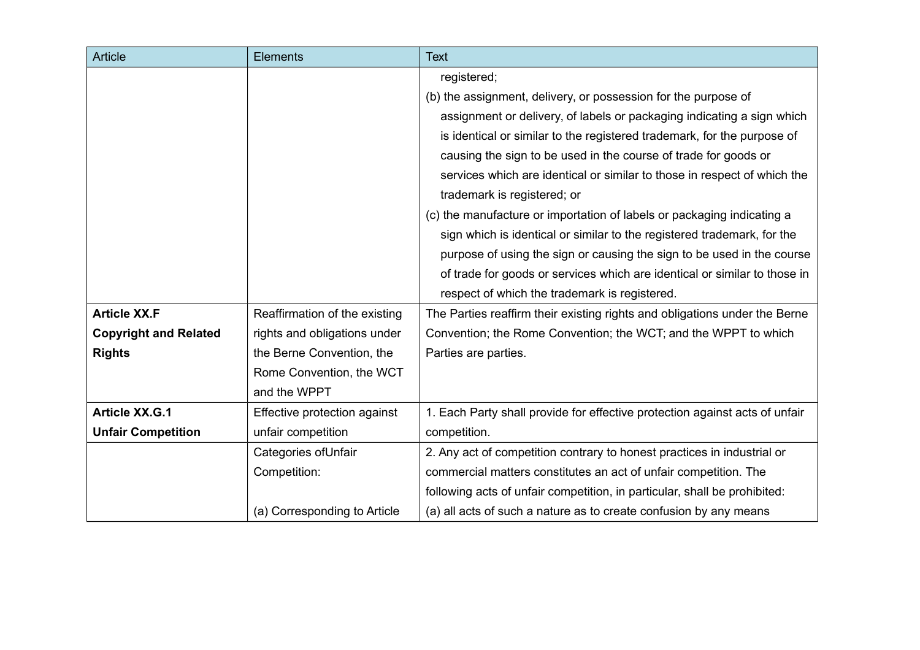| <b>Article</b>               | <b>Elements</b>               | <b>Text</b>                                                                 |
|------------------------------|-------------------------------|-----------------------------------------------------------------------------|
|                              |                               | registered;                                                                 |
|                              |                               | (b) the assignment, delivery, or possession for the purpose of              |
|                              |                               | assignment or delivery, of labels or packaging indicating a sign which      |
|                              |                               | is identical or similar to the registered trademark, for the purpose of     |
|                              |                               | causing the sign to be used in the course of trade for goods or             |
|                              |                               | services which are identical or similar to those in respect of which the    |
|                              |                               | trademark is registered; or                                                 |
|                              |                               | (c) the manufacture or importation of labels or packaging indicating a      |
|                              |                               | sign which is identical or similar to the registered trademark, for the     |
|                              |                               | purpose of using the sign or causing the sign to be used in the course      |
|                              |                               | of trade for goods or services which are identical or similar to those in   |
|                              |                               | respect of which the trademark is registered.                               |
| <b>Article XX.F</b>          | Reaffirmation of the existing | The Parties reaffirm their existing rights and obligations under the Berne  |
| <b>Copyright and Related</b> | rights and obligations under  | Convention; the Rome Convention; the WCT; and the WPPT to which             |
| <b>Rights</b>                | the Berne Convention, the     | Parties are parties.                                                        |
|                              | Rome Convention, the WCT      |                                                                             |
|                              | and the WPPT                  |                                                                             |
| <b>Article XX.G.1</b>        | Effective protection against  | 1. Each Party shall provide for effective protection against acts of unfair |
| <b>Unfair Competition</b>    | unfair competition            | competition.                                                                |
|                              | Categories of Unfair          | 2. Any act of competition contrary to honest practices in industrial or     |
|                              | Competition:                  | commercial matters constitutes an act of unfair competition. The            |
|                              |                               | following acts of unfair competition, in particular, shall be prohibited:   |
|                              | (a) Corresponding to Article  | (a) all acts of such a nature as to create confusion by any means           |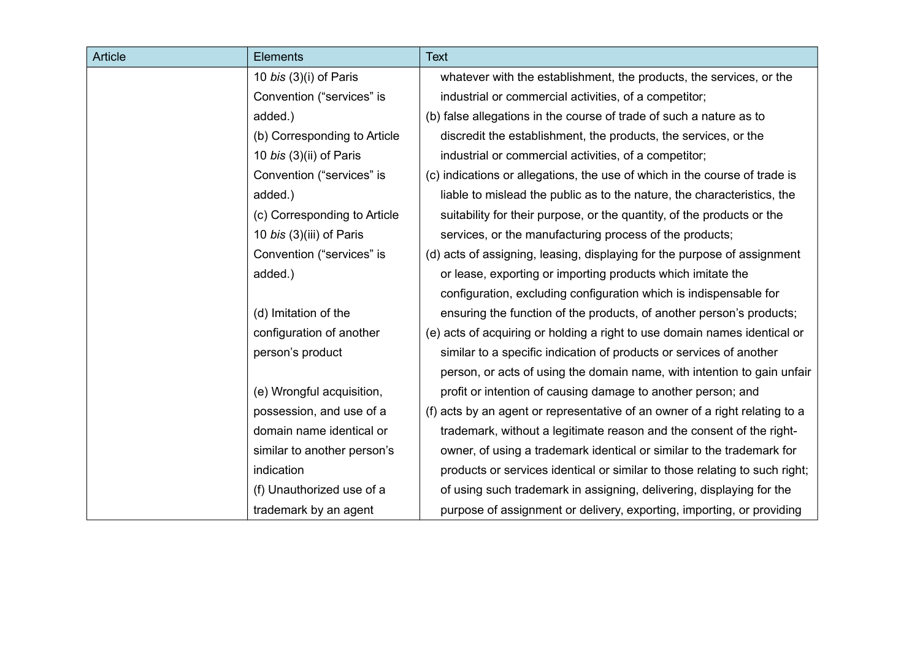| <b>Article</b> | <b>Elements</b>               | <b>Text</b>                                                                 |
|----------------|-------------------------------|-----------------------------------------------------------------------------|
|                | 10 <i>bis</i> (3)(i) of Paris | whatever with the establishment, the products, the services, or the         |
|                | Convention ("services" is     | industrial or commercial activities, of a competitor;                       |
|                | added.)                       | (b) false allegations in the course of trade of such a nature as to         |
|                | (b) Corresponding to Article  | discredit the establishment, the products, the services, or the             |
|                | 10 bis (3)(ii) of Paris       | industrial or commercial activities, of a competitor;                       |
|                | Convention ("services" is     | (c) indications or allegations, the use of which in the course of trade is  |
|                | added.)                       | liable to mislead the public as to the nature, the characteristics, the     |
|                | (c) Corresponding to Article  | suitability for their purpose, or the quantity, of the products or the      |
|                | 10 bis (3)(iii) of Paris      | services, or the manufacturing process of the products;                     |
|                | Convention ("services" is     | (d) acts of assigning, leasing, displaying for the purpose of assignment    |
|                | added.)                       | or lease, exporting or importing products which imitate the                 |
|                |                               | configuration, excluding configuration which is indispensable for           |
|                | (d) Imitation of the          | ensuring the function of the products, of another person's products;        |
|                | configuration of another      | (e) acts of acquiring or holding a right to use domain names identical or   |
|                | person's product              | similar to a specific indication of products or services of another         |
|                |                               | person, or acts of using the domain name, with intention to gain unfair     |
|                | (e) Wrongful acquisition,     | profit or intention of causing damage to another person; and                |
|                | possession, and use of a      | (f) acts by an agent or representative of an owner of a right relating to a |
|                | domain name identical or      | trademark, without a legitimate reason and the consent of the right-        |
|                | similar to another person's   | owner, of using a trademark identical or similar to the trademark for       |
|                | indication                    | products or services identical or similar to those relating to such right;  |
|                | (f) Unauthorized use of a     | of using such trademark in assigning, delivering, displaying for the        |
|                | trademark by an agent         | purpose of assignment or delivery, exporting, importing, or providing       |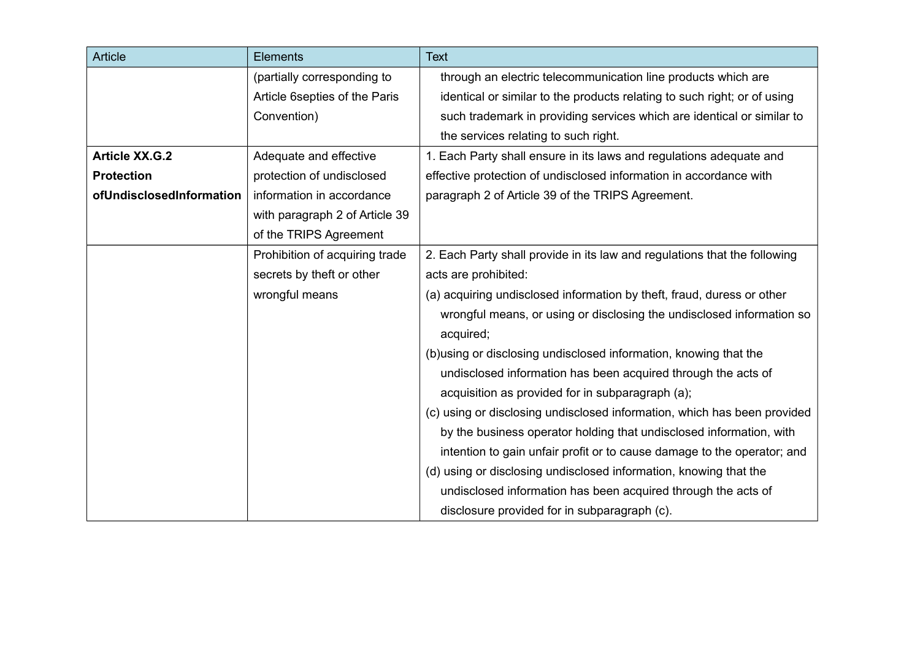| <b>Article</b>           | <b>Elements</b>                | <b>Text</b>                                                               |
|--------------------------|--------------------------------|---------------------------------------------------------------------------|
|                          | (partially corresponding to    | through an electric telecommunication line products which are             |
|                          | Article 6septies of the Paris  | identical or similar to the products relating to such right; or of using  |
|                          | Convention)                    | such trademark in providing services which are identical or similar to    |
|                          |                                | the services relating to such right.                                      |
| <b>Article XX.G.2</b>    | Adequate and effective         | 1. Each Party shall ensure in its laws and regulations adequate and       |
| <b>Protection</b>        | protection of undisclosed      | effective protection of undisclosed information in accordance with        |
| ofUndisclosedInformation | information in accordance      | paragraph 2 of Article 39 of the TRIPS Agreement.                         |
|                          | with paragraph 2 of Article 39 |                                                                           |
|                          | of the TRIPS Agreement         |                                                                           |
|                          | Prohibition of acquiring trade | 2. Each Party shall provide in its law and regulations that the following |
|                          | secrets by theft or other      | acts are prohibited:                                                      |
|                          | wrongful means                 | (a) acquiring undisclosed information by theft, fraud, duress or other    |
|                          |                                | wrongful means, or using or disclosing the undisclosed information so     |
|                          |                                | acquired;                                                                 |
|                          |                                | (b) using or disclosing undisclosed information, knowing that the         |
|                          |                                | undisclosed information has been acquired through the acts of             |
|                          |                                | acquisition as provided for in subparagraph (a);                          |
|                          |                                | (c) using or disclosing undisclosed information, which has been provided  |
|                          |                                | by the business operator holding that undisclosed information, with       |
|                          |                                | intention to gain unfair profit or to cause damage to the operator; and   |
|                          |                                | (d) using or disclosing undisclosed information, knowing that the         |
|                          |                                | undisclosed information has been acquired through the acts of             |
|                          |                                | disclosure provided for in subparagraph (c).                              |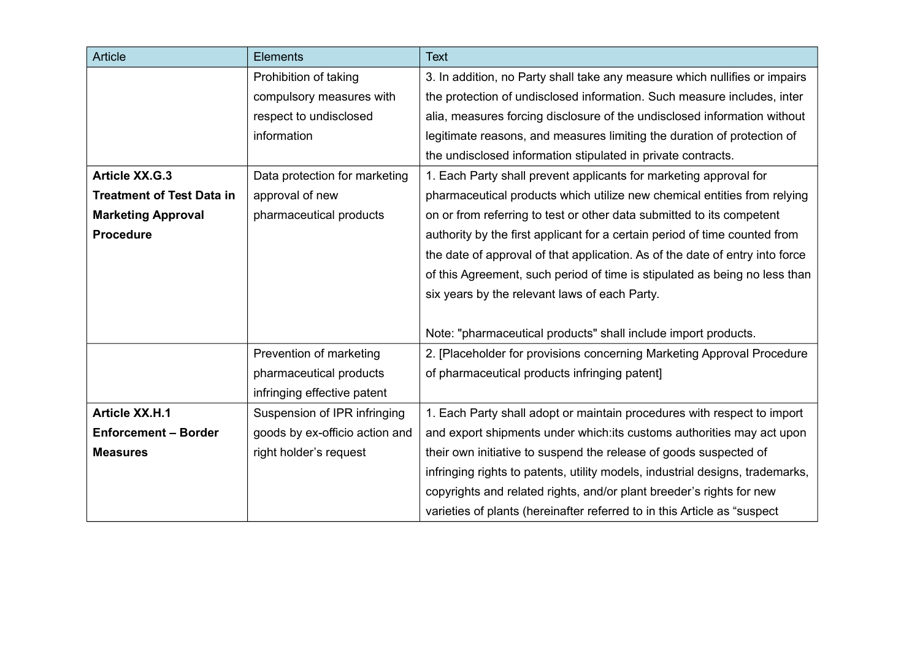| <b>Article</b>                   | <b>Elements</b>                | <b>Text</b>                                                                   |
|----------------------------------|--------------------------------|-------------------------------------------------------------------------------|
|                                  | Prohibition of taking          | 3. In addition, no Party shall take any measure which nullifies or impairs    |
|                                  | compulsory measures with       | the protection of undisclosed information. Such measure includes, inter       |
|                                  | respect to undisclosed         | alia, measures forcing disclosure of the undisclosed information without      |
|                                  | information                    | legitimate reasons, and measures limiting the duration of protection of       |
|                                  |                                | the undisclosed information stipulated in private contracts.                  |
| <b>Article XX.G.3</b>            | Data protection for marketing  | 1. Each Party shall prevent applicants for marketing approval for             |
| <b>Treatment of Test Data in</b> | approval of new                | pharmaceutical products which utilize new chemical entities from relying      |
| <b>Marketing Approval</b>        | pharmaceutical products        | on or from referring to test or other data submitted to its competent         |
| <b>Procedure</b>                 |                                | authority by the first applicant for a certain period of time counted from    |
|                                  |                                | the date of approval of that application. As of the date of entry into force  |
|                                  |                                | of this Agreement, such period of time is stipulated as being no less than    |
|                                  |                                | six years by the relevant laws of each Party.                                 |
|                                  |                                |                                                                               |
|                                  |                                | Note: "pharmaceutical products" shall include import products.                |
|                                  | Prevention of marketing        | 2. [Placeholder for provisions concerning Marketing Approval Procedure        |
|                                  | pharmaceutical products        | of pharmaceutical products infringing patent]                                 |
|                                  | infringing effective patent    |                                                                               |
| <b>Article XX.H.1</b>            | Suspension of IPR infringing   | 1. Each Party shall adopt or maintain procedures with respect to import       |
| <b>Enforcement - Border</b>      | goods by ex-officio action and | and export shipments under which: its customs authorities may act upon        |
| <b>Measures</b>                  | right holder's request         | their own initiative to suspend the release of goods suspected of             |
|                                  |                                | infringing rights to patents, utility models, industrial designs, trademarks, |
|                                  |                                | copyrights and related rights, and/or plant breeder's rights for new          |
|                                  |                                | varieties of plants (hereinafter referred to in this Article as "suspect"     |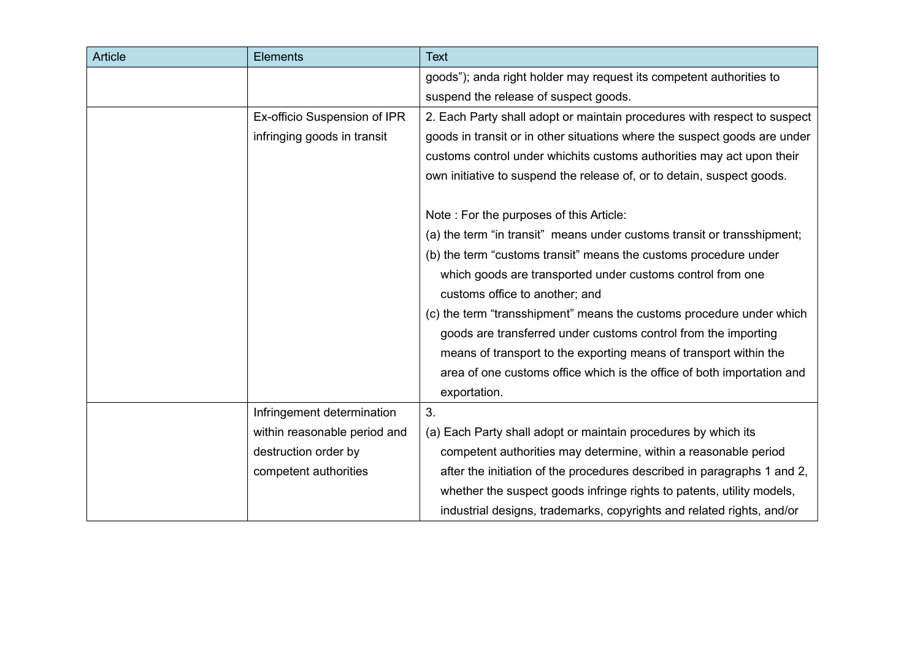| Article | Elements                     | <b>Text</b>                                                               |
|---------|------------------------------|---------------------------------------------------------------------------|
|         |                              | goods"); anda right holder may request its competent authorities to       |
|         |                              | suspend the release of suspect goods.                                     |
|         | Ex-officio Suspension of IPR | 2. Each Party shall adopt or maintain procedures with respect to suspect  |
|         | infringing goods in transit  | goods in transit or in other situations where the suspect goods are under |
|         |                              | customs control under whichits customs authorities may act upon their     |
|         |                              | own initiative to suspend the release of, or to detain, suspect goods.    |
|         |                              | Note: For the purposes of this Article:                                   |
|         |                              | (a) the term "in transit" means under customs transit or transshipment;   |
|         |                              | (b) the term "customs transit" means the customs procedure under          |
|         |                              | which goods are transported under customs control from one                |
|         |                              | customs office to another; and                                            |
|         |                              | (c) the term "transshipment" means the customs procedure under which      |
|         |                              | goods are transferred under customs control from the importing            |
|         |                              | means of transport to the exporting means of transport within the         |
|         |                              | area of one customs office which is the office of both importation and    |
|         |                              | exportation.                                                              |
|         | Infringement determination   | 3.                                                                        |
|         | within reasonable period and | (a) Each Party shall adopt or maintain procedures by which its            |
|         | destruction order by         | competent authorities may determine, within a reasonable period           |
|         | competent authorities        | after the initiation of the procedures described in paragraphs 1 and 2,   |
|         |                              | whether the suspect goods infringe rights to patents, utility models,     |
|         |                              | industrial designs, trademarks, copyrights and related rights, and/or     |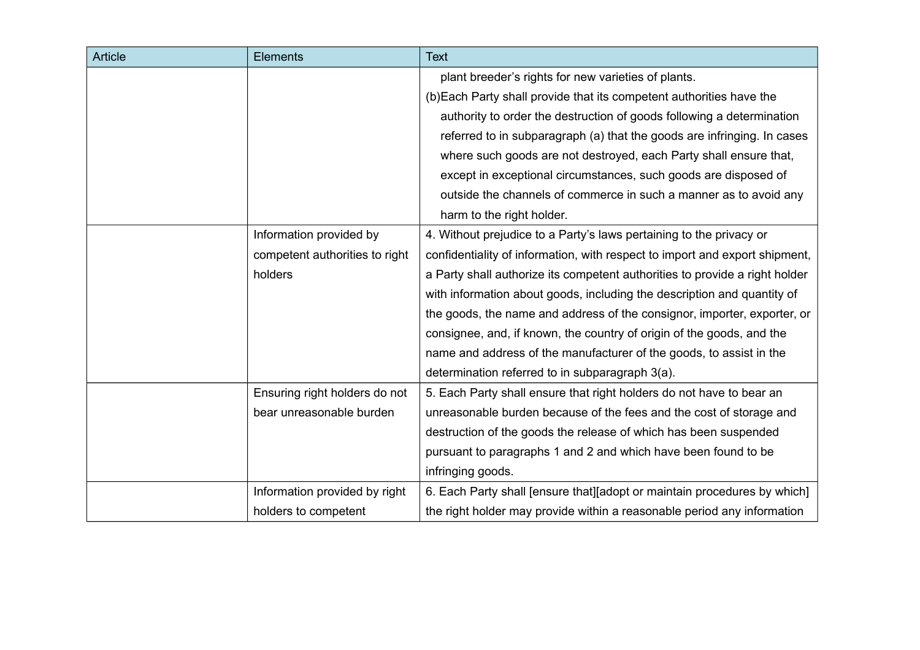| <b>Article</b> | <b>Elements</b>                | <b>Text</b>                                                                 |
|----------------|--------------------------------|-----------------------------------------------------------------------------|
|                |                                | plant breeder's rights for new varieties of plants.                         |
|                |                                | (b) Each Party shall provide that its competent authorities have the        |
|                |                                | authority to order the destruction of goods following a determination       |
|                |                                | referred to in subparagraph (a) that the goods are infringing. In cases     |
|                |                                | where such goods are not destroyed, each Party shall ensure that,           |
|                |                                | except in exceptional circumstances, such goods are disposed of             |
|                |                                | outside the channels of commerce in such a manner as to avoid any           |
|                |                                | harm to the right holder.                                                   |
|                | Information provided by        | 4. Without prejudice to a Party's laws pertaining to the privacy or         |
|                | competent authorities to right | confidentiality of information, with respect to import and export shipment, |
|                | holders                        | a Party shall authorize its competent authorities to provide a right holder |
|                |                                | with information about goods, including the description and quantity of     |
|                |                                | the goods, the name and address of the consignor, importer, exporter, or    |
|                |                                | consignee, and, if known, the country of origin of the goods, and the       |
|                |                                | name and address of the manufacturer of the goods, to assist in the         |
|                |                                | determination referred to in subparagraph 3(a).                             |
|                | Ensuring right holders do not  | 5. Each Party shall ensure that right holders do not have to bear an        |
|                | bear unreasonable burden       | unreasonable burden because of the fees and the cost of storage and         |
|                |                                | destruction of the goods the release of which has been suspended            |
|                |                                | pursuant to paragraphs 1 and 2 and which have been found to be              |
|                |                                | infringing goods.                                                           |
|                | Information provided by right  | 6. Each Party shall [ensure that][adopt or maintain procedures by which]    |
|                | holders to competent           | the right holder may provide within a reasonable period any information     |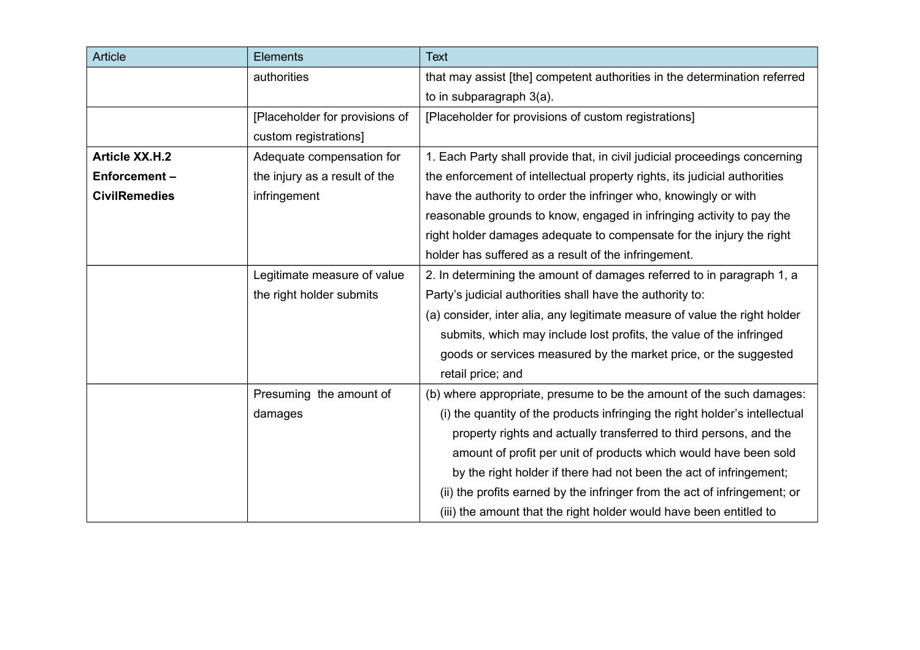| <b>Article</b>        | <b>Elements</b>                | <b>Text</b>                                                                 |
|-----------------------|--------------------------------|-----------------------------------------------------------------------------|
|                       | authorities                    | that may assist [the] competent authorities in the determination referred   |
|                       |                                | to in subparagraph 3(a).                                                    |
|                       | [Placeholder for provisions of | [Placeholder for provisions of custom registrations]                        |
|                       | custom registrations]          |                                                                             |
| <b>Article XX.H.2</b> | Adequate compensation for      | 1. Each Party shall provide that, in civil judicial proceedings concerning  |
| Enforcement-          | the injury as a result of the  | the enforcement of intellectual property rights, its judicial authorities   |
| <b>CivilRemedies</b>  | infringement                   | have the authority to order the infringer who, knowingly or with            |
|                       |                                | reasonable grounds to know, engaged in infringing activity to pay the       |
|                       |                                | right holder damages adequate to compensate for the injury the right        |
|                       |                                | holder has suffered as a result of the infringement.                        |
|                       | Legitimate measure of value    | 2. In determining the amount of damages referred to in paragraph 1, a       |
|                       | the right holder submits       | Party's judicial authorities shall have the authority to:                   |
|                       |                                | (a) consider, inter alia, any legitimate measure of value the right holder  |
|                       |                                | submits, which may include lost profits, the value of the infringed         |
|                       |                                | goods or services measured by the market price, or the suggested            |
|                       |                                | retail price; and                                                           |
|                       | Presuming the amount of        | (b) where appropriate, presume to be the amount of the such damages:        |
|                       | damages                        | (i) the quantity of the products infringing the right holder's intellectual |
|                       |                                | property rights and actually transferred to third persons, and the          |
|                       |                                | amount of profit per unit of products which would have been sold            |
|                       |                                | by the right holder if there had not been the act of infringement;          |
|                       |                                | (ii) the profits earned by the infringer from the act of infringement; or   |
|                       |                                | (iii) the amount that the right holder would have been entitled to          |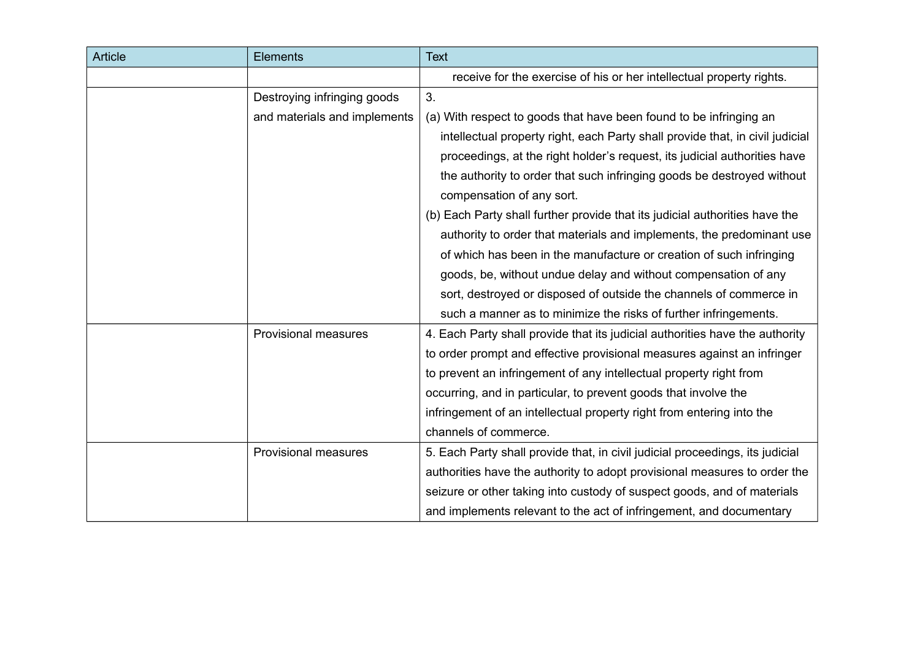| Article | Elements                     | <b>Text</b>                                                                   |
|---------|------------------------------|-------------------------------------------------------------------------------|
|         |                              | receive for the exercise of his or her intellectual property rights.          |
|         | Destroying infringing goods  | 3.                                                                            |
|         | and materials and implements | (a) With respect to goods that have been found to be infringing an            |
|         |                              | intellectual property right, each Party shall provide that, in civil judicial |
|         |                              | proceedings, at the right holder's request, its judicial authorities have     |
|         |                              | the authority to order that such infringing goods be destroyed without        |
|         |                              | compensation of any sort.                                                     |
|         |                              | (b) Each Party shall further provide that its judicial authorities have the   |
|         |                              | authority to order that materials and implements, the predominant use         |
|         |                              | of which has been in the manufacture or creation of such infringing           |
|         |                              | goods, be, without undue delay and without compensation of any                |
|         |                              | sort, destroyed or disposed of outside the channels of commerce in            |
|         |                              | such a manner as to minimize the risks of further infringements.              |
|         | <b>Provisional measures</b>  | 4. Each Party shall provide that its judicial authorities have the authority  |
|         |                              | to order prompt and effective provisional measures against an infringer       |
|         |                              | to prevent an infringement of any intellectual property right from            |
|         |                              | occurring, and in particular, to prevent goods that involve the               |
|         |                              | infringement of an intellectual property right from entering into the         |
|         |                              | channels of commerce.                                                         |
|         | <b>Provisional measures</b>  | 5. Each Party shall provide that, in civil judicial proceedings, its judicial |
|         |                              | authorities have the authority to adopt provisional measures to order the     |
|         |                              | seizure or other taking into custody of suspect goods, and of materials       |
|         |                              | and implements relevant to the act of infringement, and documentary           |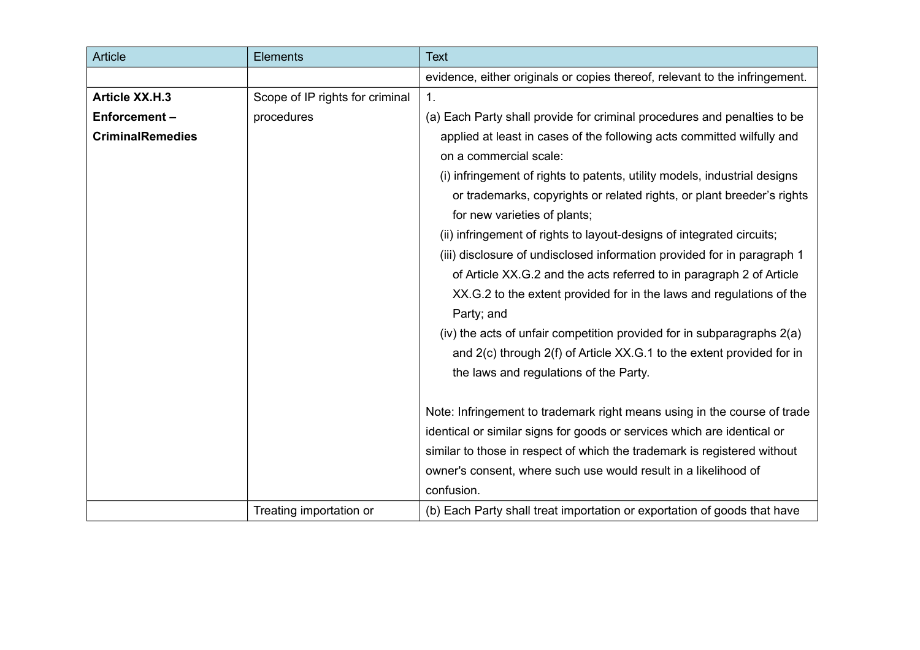| <b>Article</b>          | <b>Elements</b>                 | <b>Text</b>                                                                 |
|-------------------------|---------------------------------|-----------------------------------------------------------------------------|
|                         |                                 | evidence, either originals or copies thereof, relevant to the infringement. |
| <b>Article XX.H.3</b>   | Scope of IP rights for criminal | 1.                                                                          |
| Enforcement-            | procedures                      | (a) Each Party shall provide for criminal procedures and penalties to be    |
| <b>CriminalRemedies</b> |                                 | applied at least in cases of the following acts committed wilfully and      |
|                         |                                 | on a commercial scale:                                                      |
|                         |                                 | (i) infringement of rights to patents, utility models, industrial designs   |
|                         |                                 | or trademarks, copyrights or related rights, or plant breeder's rights      |
|                         |                                 | for new varieties of plants;                                                |
|                         |                                 | (ii) infringement of rights to layout-designs of integrated circuits;       |
|                         |                                 | (iii) disclosure of undisclosed information provided for in paragraph 1     |
|                         |                                 | of Article XX.G.2 and the acts referred to in paragraph 2 of Article        |
|                         |                                 | XX.G.2 to the extent provided for in the laws and regulations of the        |
|                         |                                 | Party; and                                                                  |
|                         |                                 | (iv) the acts of unfair competition provided for in subparagraphs 2(a)      |
|                         |                                 | and 2(c) through 2(f) of Article XX.G.1 to the extent provided for in       |
|                         |                                 | the laws and regulations of the Party.                                      |
|                         |                                 |                                                                             |
|                         |                                 | Note: Infringement to trademark right means using in the course of trade    |
|                         |                                 | identical or similar signs for goods or services which are identical or     |
|                         |                                 | similar to those in respect of which the trademark is registered without    |
|                         |                                 | owner's consent, where such use would result in a likelihood of             |
|                         |                                 | confusion.                                                                  |
|                         | Treating importation or         | (b) Each Party shall treat importation or exportation of goods that have    |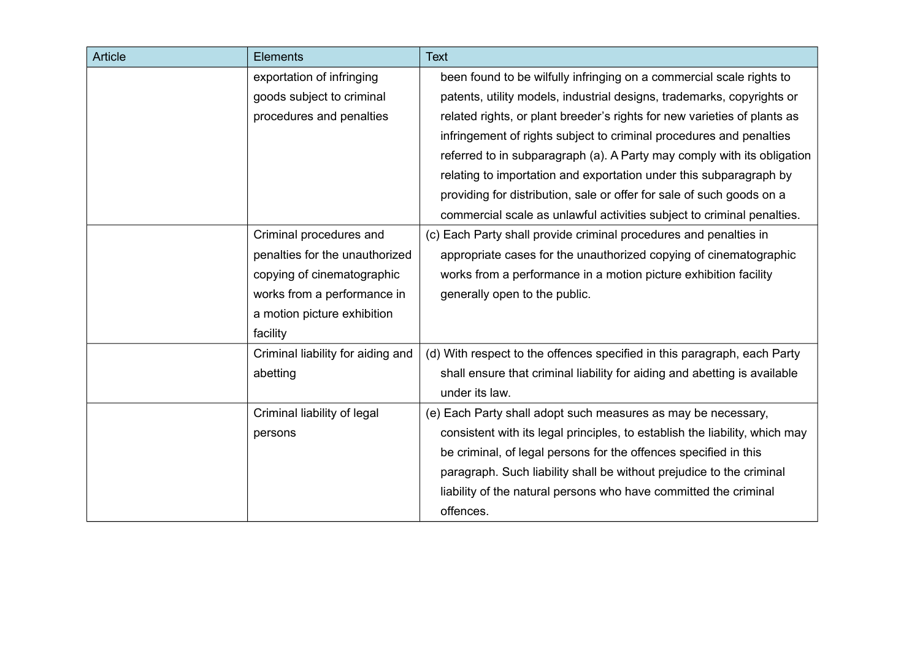| <b>Article</b> | <b>Elements</b>                   | <b>Text</b>                                                                 |
|----------------|-----------------------------------|-----------------------------------------------------------------------------|
|                | exportation of infringing         | been found to be wilfully infringing on a commercial scale rights to        |
|                | goods subject to criminal         | patents, utility models, industrial designs, trademarks, copyrights or      |
|                | procedures and penalties          | related rights, or plant breeder's rights for new varieties of plants as    |
|                |                                   | infringement of rights subject to criminal procedures and penalties         |
|                |                                   | referred to in subparagraph (a). A Party may comply with its obligation     |
|                |                                   | relating to importation and exportation under this subparagraph by          |
|                |                                   | providing for distribution, sale or offer for sale of such goods on a       |
|                |                                   | commercial scale as unlawful activities subject to criminal penalties.      |
|                | Criminal procedures and           | (c) Each Party shall provide criminal procedures and penalties in           |
|                | penalties for the unauthorized    | appropriate cases for the unauthorized copying of cinematographic           |
|                | copying of cinematographic        | works from a performance in a motion picture exhibition facility            |
|                | works from a performance in       | generally open to the public.                                               |
|                | a motion picture exhibition       |                                                                             |
|                | facility                          |                                                                             |
|                | Criminal liability for aiding and | (d) With respect to the offences specified in this paragraph, each Party    |
|                | abetting                          | shall ensure that criminal liability for aiding and abetting is available   |
|                |                                   | under its law.                                                              |
|                | Criminal liability of legal       | (e) Each Party shall adopt such measures as may be necessary,               |
|                | persons                           | consistent with its legal principles, to establish the liability, which may |
|                |                                   | be criminal, of legal persons for the offences specified in this            |
|                |                                   | paragraph. Such liability shall be without prejudice to the criminal        |
|                |                                   | liability of the natural persons who have committed the criminal            |
|                |                                   | offences.                                                                   |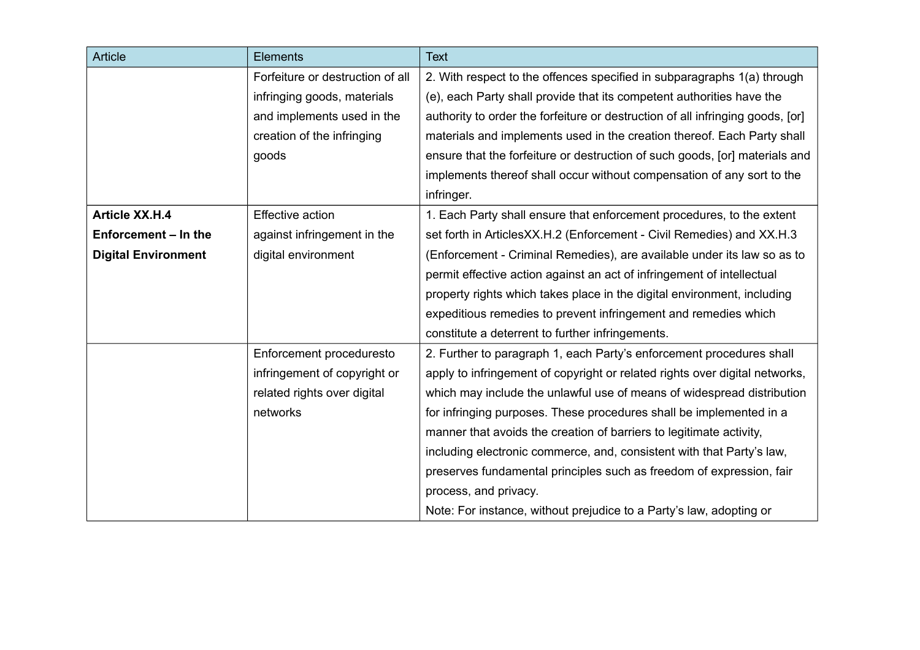| <b>Article</b>             | <b>Elements</b>                  | <b>Text</b>                                                                    |
|----------------------------|----------------------------------|--------------------------------------------------------------------------------|
|                            | Forfeiture or destruction of all | 2. With respect to the offences specified in subparagraphs 1(a) through        |
|                            | infringing goods, materials      | (e), each Party shall provide that its competent authorities have the          |
|                            | and implements used in the       | authority to order the forfeiture or destruction of all infringing goods, [or] |
|                            | creation of the infringing       | materials and implements used in the creation thereof. Each Party shall        |
|                            | goods                            | ensure that the forfeiture or destruction of such goods, [or] materials and    |
|                            |                                  | implements thereof shall occur without compensation of any sort to the         |
|                            |                                  | infringer.                                                                     |
| <b>Article XX.H.4</b>      | <b>Effective action</b>          | 1. Each Party shall ensure that enforcement procedures, to the extent          |
| Enforcement - In the       | against infringement in the      | set forth in ArticlesXX.H.2 (Enforcement - Civil Remedies) and XX.H.3          |
| <b>Digital Environment</b> | digital environment              | (Enforcement - Criminal Remedies), are available under its law so as to        |
|                            |                                  | permit effective action against an act of infringement of intellectual         |
|                            |                                  | property rights which takes place in the digital environment, including        |
|                            |                                  | expeditious remedies to prevent infringement and remedies which                |
|                            |                                  | constitute a deterrent to further infringements.                               |
|                            | Enforcement proceduresto         | 2. Further to paragraph 1, each Party's enforcement procedures shall           |
|                            | infringement of copyright or     | apply to infringement of copyright or related rights over digital networks,    |
|                            | related rights over digital      | which may include the unlawful use of means of widespread distribution         |
|                            | networks                         | for infringing purposes. These procedures shall be implemented in a            |
|                            |                                  | manner that avoids the creation of barriers to legitimate activity,            |
|                            |                                  | including electronic commerce, and, consistent with that Party's law,          |
|                            |                                  | preserves fundamental principles such as freedom of expression, fair           |
|                            |                                  | process, and privacy.                                                          |
|                            |                                  | Note: For instance, without prejudice to a Party's law, adopting or            |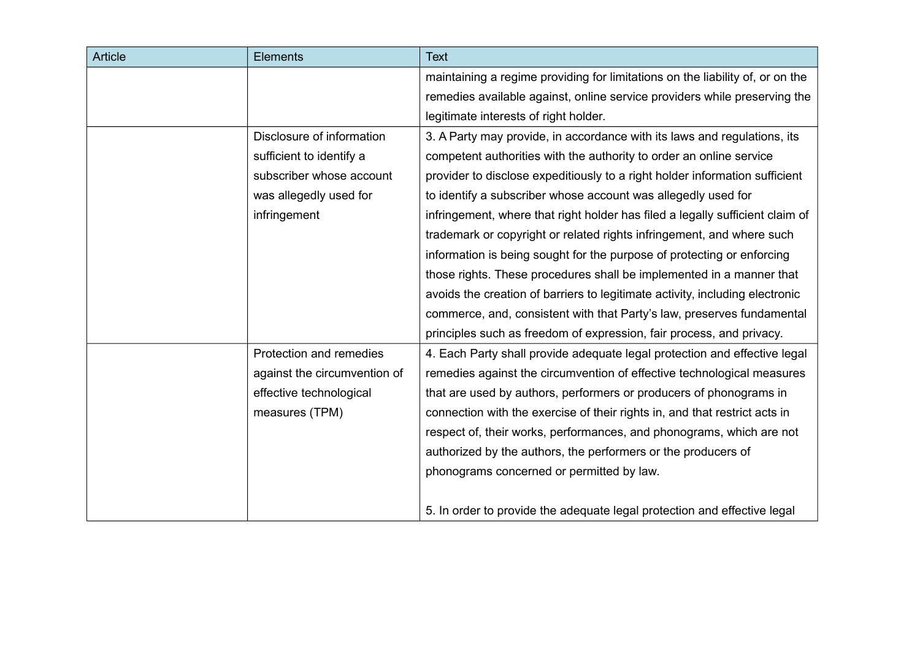| <b>Article</b> | <b>Elements</b>              | <b>Text</b>                                                                   |
|----------------|------------------------------|-------------------------------------------------------------------------------|
|                |                              | maintaining a regime providing for limitations on the liability of, or on the |
|                |                              | remedies available against, online service providers while preserving the     |
|                |                              | legitimate interests of right holder.                                         |
|                | Disclosure of information    | 3. A Party may provide, in accordance with its laws and regulations, its      |
|                | sufficient to identify a     | competent authorities with the authority to order an online service           |
|                | subscriber whose account     | provider to disclose expeditiously to a right holder information sufficient   |
|                | was allegedly used for       | to identify a subscriber whose account was allegedly used for                 |
|                | infringement                 | infringement, where that right holder has filed a legally sufficient claim of |
|                |                              | trademark or copyright or related rights infringement, and where such         |
|                |                              | information is being sought for the purpose of protecting or enforcing        |
|                |                              | those rights. These procedures shall be implemented in a manner that          |
|                |                              | avoids the creation of barriers to legitimate activity, including electronic  |
|                |                              | commerce, and, consistent with that Party's law, preserves fundamental        |
|                |                              | principles such as freedom of expression, fair process, and privacy.          |
|                | Protection and remedies      | 4. Each Party shall provide adequate legal protection and effective legal     |
|                | against the circumvention of | remedies against the circumvention of effective technological measures        |
|                | effective technological      | that are used by authors, performers or producers of phonograms in            |
|                | measures (TPM)               | connection with the exercise of their rights in, and that restrict acts in    |
|                |                              | respect of, their works, performances, and phonograms, which are not          |
|                |                              | authorized by the authors, the performers or the producers of                 |
|                |                              | phonograms concerned or permitted by law.                                     |
|                |                              | 5. In order to provide the adequate legal protection and effective legal      |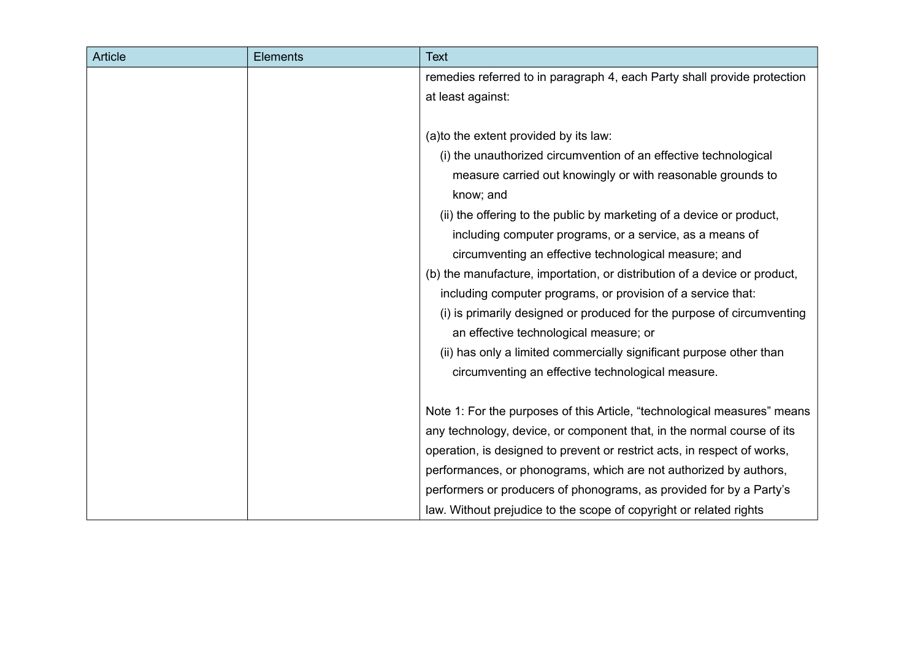| <b>Article</b> | <b>Elements</b> | <b>Text</b>                                                               |
|----------------|-----------------|---------------------------------------------------------------------------|
|                |                 | remedies referred to in paragraph 4, each Party shall provide protection  |
|                |                 | at least against:                                                         |
|                |                 |                                                                           |
|                |                 | (a) to the extent provided by its law:                                    |
|                |                 | (i) the unauthorized circumvention of an effective technological          |
|                |                 | measure carried out knowingly or with reasonable grounds to               |
|                |                 | know; and                                                                 |
|                |                 | (ii) the offering to the public by marketing of a device or product,      |
|                |                 | including computer programs, or a service, as a means of                  |
|                |                 | circumventing an effective technological measure; and                     |
|                |                 | (b) the manufacture, importation, or distribution of a device or product, |
|                |                 | including computer programs, or provision of a service that:              |
|                |                 | (i) is primarily designed or produced for the purpose of circumventing    |
|                |                 | an effective technological measure; or                                    |
|                |                 | (ii) has only a limited commercially significant purpose other than       |
|                |                 | circumventing an effective technological measure.                         |
|                |                 |                                                                           |
|                |                 | Note 1: For the purposes of this Article, "technological measures" means  |
|                |                 | any technology, device, or component that, in the normal course of its    |
|                |                 | operation, is designed to prevent or restrict acts, in respect of works,  |
|                |                 | performances, or phonograms, which are not authorized by authors,         |
|                |                 | performers or producers of phonograms, as provided for by a Party's       |
|                |                 | law. Without prejudice to the scope of copyright or related rights        |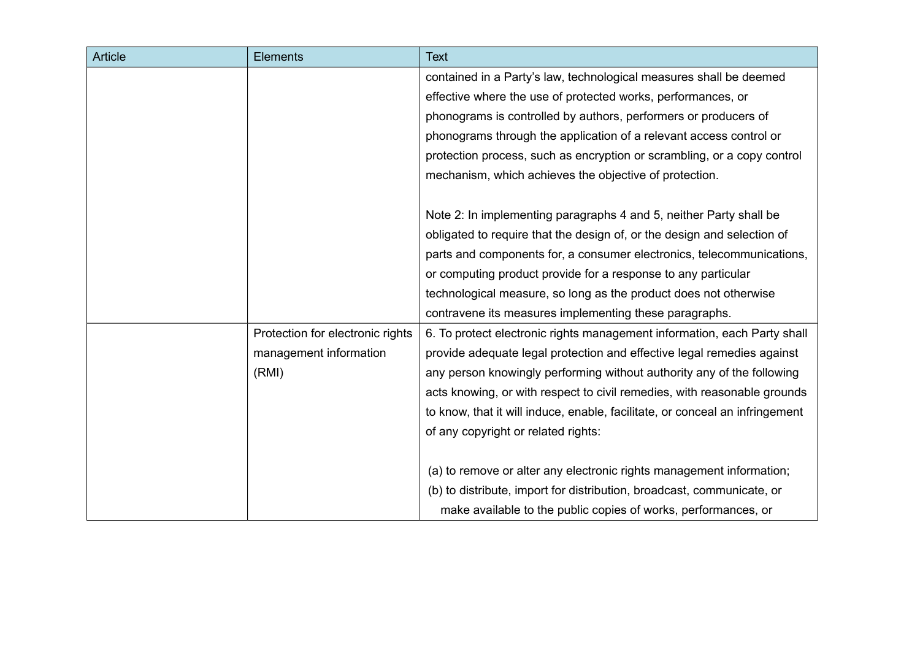| <b>Article</b> | <b>Elements</b>                  | <b>Text</b>                                                                  |
|----------------|----------------------------------|------------------------------------------------------------------------------|
|                |                                  | contained in a Party's law, technological measures shall be deemed           |
|                |                                  | effective where the use of protected works, performances, or                 |
|                |                                  | phonograms is controlled by authors, performers or producers of              |
|                |                                  | phonograms through the application of a relevant access control or           |
|                |                                  | protection process, such as encryption or scrambling, or a copy control      |
|                |                                  | mechanism, which achieves the objective of protection.                       |
|                |                                  | Note 2: In implementing paragraphs 4 and 5, neither Party shall be           |
|                |                                  | obligated to require that the design of, or the design and selection of      |
|                |                                  | parts and components for, a consumer electronics, telecommunications,        |
|                |                                  | or computing product provide for a response to any particular                |
|                |                                  | technological measure, so long as the product does not otherwise             |
|                |                                  | contravene its measures implementing these paragraphs.                       |
|                | Protection for electronic rights | 6. To protect electronic rights management information, each Party shall     |
|                | management information           | provide adequate legal protection and effective legal remedies against       |
|                | (RMI)                            | any person knowingly performing without authority any of the following       |
|                |                                  | acts knowing, or with respect to civil remedies, with reasonable grounds     |
|                |                                  | to know, that it will induce, enable, facilitate, or conceal an infringement |
|                |                                  | of any copyright or related rights:                                          |
|                |                                  | (a) to remove or alter any electronic rights management information;         |
|                |                                  | (b) to distribute, import for distribution, broadcast, communicate, or       |
|                |                                  | make available to the public copies of works, performances, or               |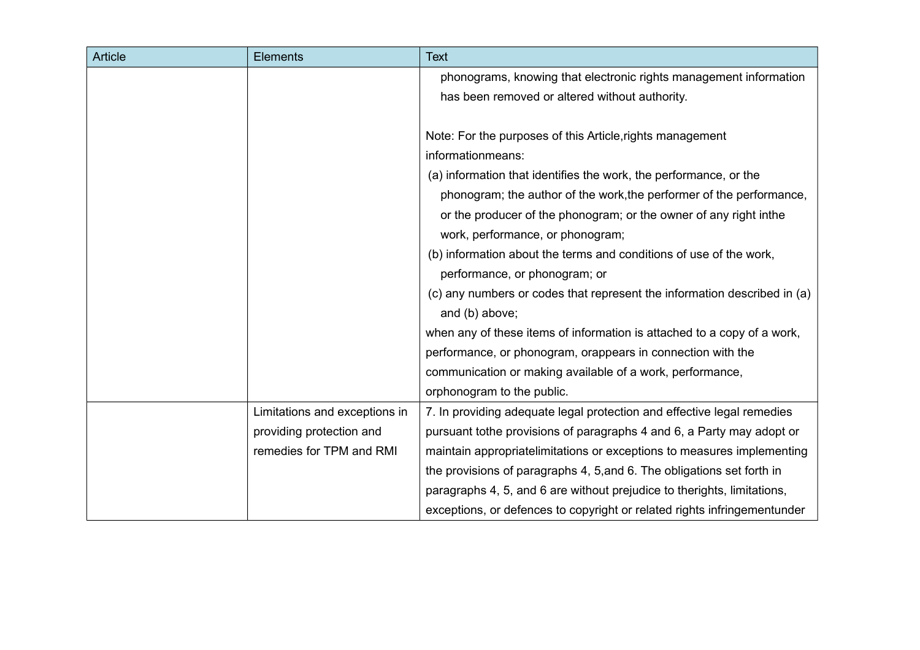| <b>Article</b> | <b>Elements</b>               | <b>Text</b>                                                              |
|----------------|-------------------------------|--------------------------------------------------------------------------|
|                |                               | phonograms, knowing that electronic rights management information        |
|                |                               | has been removed or altered without authority.                           |
|                |                               |                                                                          |
|                |                               | Note: For the purposes of this Article, rights management                |
|                |                               | informationmeans:                                                        |
|                |                               | (a) information that identifies the work, the performance, or the        |
|                |                               | phonogram; the author of the work, the performer of the performance,     |
|                |                               | or the producer of the phonogram; or the owner of any right in the       |
|                |                               | work, performance, or phonogram;                                         |
|                |                               | (b) information about the terms and conditions of use of the work,       |
|                |                               | performance, or phonogram; or                                            |
|                |                               | (c) any numbers or codes that represent the information described in (a) |
|                |                               | and (b) above;                                                           |
|                |                               | when any of these items of information is attached to a copy of a work,  |
|                |                               | performance, or phonogram, orappears in connection with the              |
|                |                               | communication or making available of a work, performance,                |
|                |                               | orphonogram to the public.                                               |
|                | Limitations and exceptions in | 7. In providing adequate legal protection and effective legal remedies   |
|                | providing protection and      | pursuant tothe provisions of paragraphs 4 and 6, a Party may adopt or    |
|                | remedies for TPM and RMI      | maintain appropriatelimitations or exceptions to measures implementing   |
|                |                               | the provisions of paragraphs 4, 5, and 6. The obligations set forth in   |
|                |                               | paragraphs 4, 5, and 6 are without prejudice to therights, limitations,  |
|                |                               | exceptions, or defences to copyright or related rights infringementunder |